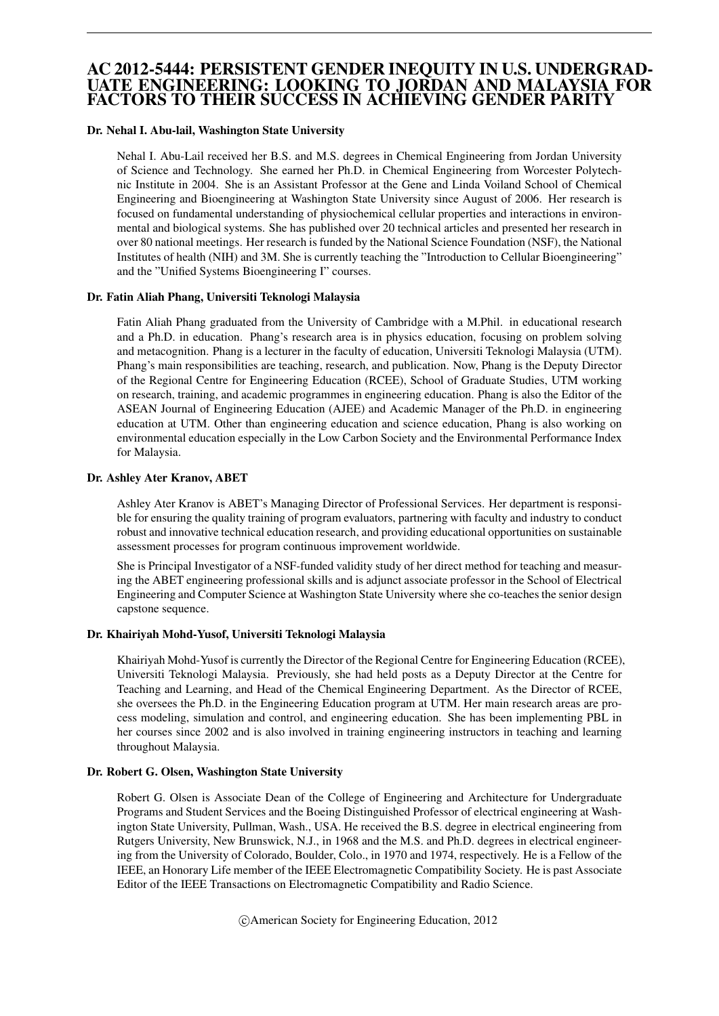# AC 2012-5444: PERSISTENT GENDER INEQUITY IN U.S. UNDERGRAD-UATE ENGINEERING: LOOKING TO JORDAN AND MALAYSIA FOR FACTORS TO THEIR SUCCESS IN ACHIEVING GENDER PARITY

### Dr. Nehal I. Abu-lail, Washington State University

Nehal I. Abu-Lail received her B.S. and M.S. degrees in Chemical Engineering from Jordan University of Science and Technology. She earned her Ph.D. in Chemical Engineering from Worcester Polytechnic Institute in 2004. She is an Assistant Professor at the Gene and Linda Voiland School of Chemical Engineering and Bioengineering at Washington State University since August of 2006. Her research is focused on fundamental understanding of physiochemical cellular properties and interactions in environmental and biological systems. She has published over 20 technical articles and presented her research in over 80 national meetings. Her research is funded by the National Science Foundation (NSF), the National Institutes of health (NIH) and 3M. She is currently teaching the "Introduction to Cellular Bioengineering" and the "Unified Systems Bioengineering I" courses.

### Dr. Fatin Aliah Phang, Universiti Teknologi Malaysia

Fatin Aliah Phang graduated from the University of Cambridge with a M.Phil. in educational research and a Ph.D. in education. Phang's research area is in physics education, focusing on problem solving and metacognition. Phang is a lecturer in the faculty of education, Universiti Teknologi Malaysia (UTM). Phang's main responsibilities are teaching, research, and publication. Now, Phang is the Deputy Director of the Regional Centre for Engineering Education (RCEE), School of Graduate Studies, UTM working on research, training, and academic programmes in engineering education. Phang is also the Editor of the ASEAN Journal of Engineering Education (AJEE) and Academic Manager of the Ph.D. in engineering education at UTM. Other than engineering education and science education, Phang is also working on environmental education especially in the Low Carbon Society and the Environmental Performance Index for Malaysia.

### Dr. Ashley Ater Kranov, ABET

Ashley Ater Kranov is ABET's Managing Director of Professional Services. Her department is responsible for ensuring the quality training of program evaluators, partnering with faculty and industry to conduct robust and innovative technical education research, and providing educational opportunities on sustainable assessment processes for program continuous improvement worldwide.

She is Principal Investigator of a NSF-funded validity study of her direct method for teaching and measuring the ABET engineering professional skills and is adjunct associate professor in the School of Electrical Engineering and Computer Science at Washington State University where she co-teaches the senior design capstone sequence.

#### Dr. Khairiyah Mohd-Yusof, Universiti Teknologi Malaysia

Khairiyah Mohd-Yusof is currently the Director of the Regional Centre for Engineering Education (RCEE), Universiti Teknologi Malaysia. Previously, she had held posts as a Deputy Director at the Centre for Teaching and Learning, and Head of the Chemical Engineering Department. As the Director of RCEE, she oversees the Ph.D. in the Engineering Education program at UTM. Her main research areas are process modeling, simulation and control, and engineering education. She has been implementing PBL in her courses since 2002 and is also involved in training engineering instructors in teaching and learning throughout Malaysia.

### Dr. Robert G. Olsen, Washington State University

Robert G. Olsen is Associate Dean of the College of Engineering and Architecture for Undergraduate Programs and Student Services and the Boeing Distinguished Professor of electrical engineering at Washington State University, Pullman, Wash., USA. He received the B.S. degree in electrical engineering from Rutgers University, New Brunswick, N.J., in 1968 and the M.S. and Ph.D. degrees in electrical engineering from the University of Colorado, Boulder, Colo., in 1970 and 1974, respectively. He is a Fellow of the IEEE, an Honorary Life member of the IEEE Electromagnetic Compatibility Society. He is past Associate Editor of the IEEE Transactions on Electromagnetic Compatibility and Radio Science.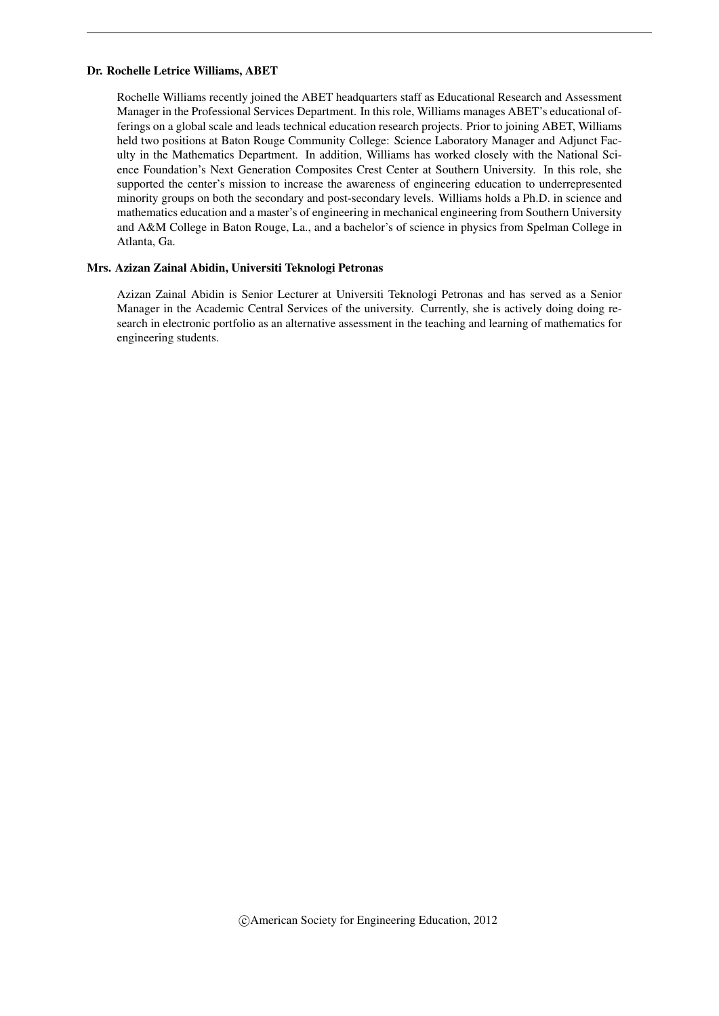### Dr. Rochelle Letrice Williams, ABET

Rochelle Williams recently joined the ABET headquarters staff as Educational Research and Assessment Manager in the Professional Services Department. In this role, Williams manages ABET's educational offerings on a global scale and leads technical education research projects. Prior to joining ABET, Williams held two positions at Baton Rouge Community College: Science Laboratory Manager and Adjunct Faculty in the Mathematics Department. In addition, Williams has worked closely with the National Science Foundation's Next Generation Composites Crest Center at Southern University. In this role, she supported the center's mission to increase the awareness of engineering education to underrepresented minority groups on both the secondary and post-secondary levels. Williams holds a Ph.D. in science and mathematics education and a master's of engineering in mechanical engineering from Southern University and A&M College in Baton Rouge, La., and a bachelor's of science in physics from Spelman College in Atlanta, Ga.

### Mrs. Azizan Zainal Abidin, Universiti Teknologi Petronas

Azizan Zainal Abidin is Senior Lecturer at Universiti Teknologi Petronas and has served as a Senior Manager in the Academic Central Services of the university. Currently, she is actively doing doing research in electronic portfolio as an alternative assessment in the teaching and learning of mathematics for engineering students.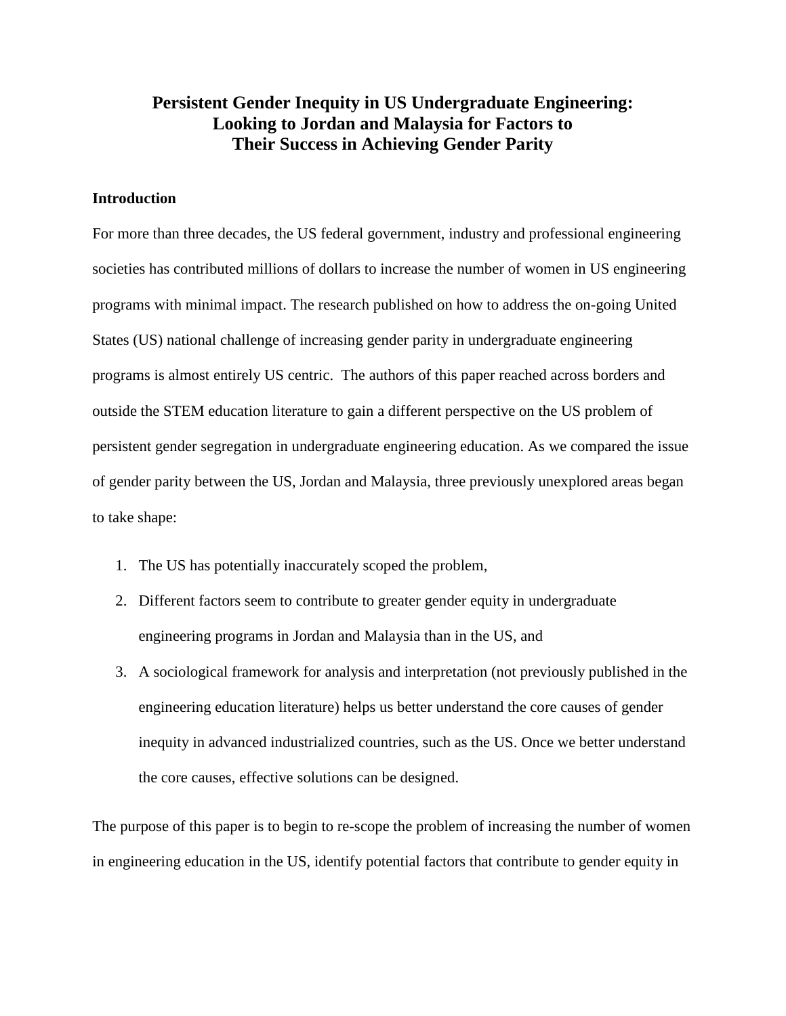# **Persistent Gender Inequity in US Undergraduate Engineering: Looking to Jordan and Malaysia for Factors to Their Success in Achieving Gender Parity**

# **Introduction**

For more than three decades, the US federal government, industry and professional engineering societies has contributed millions of dollars to increase the number of women in US engineering programs with minimal impact. The research published on how to address the on-going United States (US) national challenge of increasing gender parity in undergraduate engineering programs is almost entirely US centric. The authors of this paper reached across borders and outside the STEM education literature to gain a different perspective on the US problem of persistent gender segregation in undergraduate engineering education. As we compared the issue of gender parity between the US, Jordan and Malaysia, three previously unexplored areas began to take shape:

- 1. The US has potentially inaccurately scoped the problem,
- 2. Different factors seem to contribute to greater gender equity in undergraduate engineering programs in Jordan and Malaysia than in the US, and
- 3. A sociological framework for analysis and interpretation (not previously published in the engineering education literature) helps us better understand the core causes of gender inequity in advanced industrialized countries, such as the US. Once we better understand the core causes, effective solutions can be designed.

The purpose of this paper is to begin to re-scope the problem of increasing the number of women in engineering education in the US, identify potential factors that contribute to gender equity in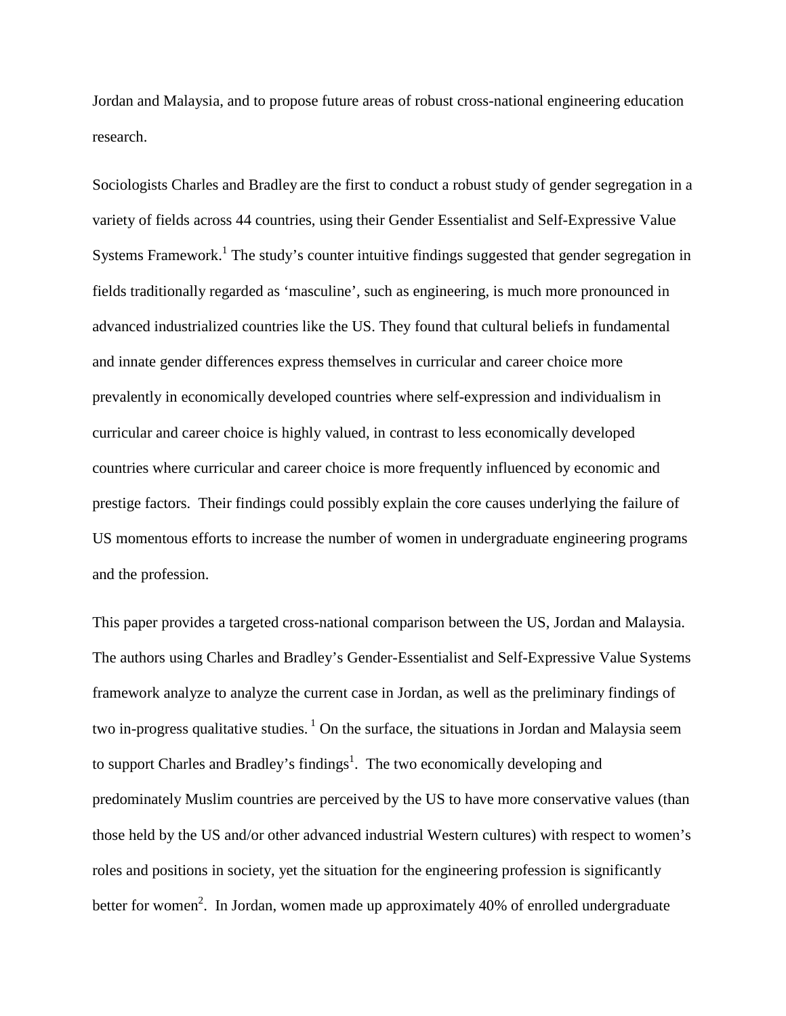Jordan and Malaysia, and to propose future areas of robust cross-national engineering education research.

Sociologists Charles and Bradley are the first to conduct a robust study of gender segregation in a variety of fields across 44 countries, using their Gender Essentialist and Self-Expressive Value Systems Framework.<sup>1</sup> The study's counter intuitive findings suggested that gender segregation in fields traditionally regarded as 'masculine', such as engineering, is much more pronounced in advanced industrialized countries like the US. They found that cultural beliefs in fundamental and innate gender differences express themselves in curricular and career choice more prevalently in economically developed countries where self-expression and individualism in curricular and career choice is highly valued, in contrast to less economically developed countries where curricular and career choice is more frequently influenced by economic and prestige factors. Their findings could possibly explain the core causes underlying the failure of US momentous efforts to increase the number of women in undergraduate engineering programs and the profession.

This paper provides a targeted cross-national comparison between the US, Jordan and Malaysia. The authors using Charles and Bradley's Gender-Essentialist and Self-Expressive Value Systems framework analyze to analyze the current case in Jordan, as well as the preliminary findings of two in-progress qualitative studies.<sup>1</sup> On the surface, the situations in Jordan and Malaysia seem to support Charles and Bradley's findings<sup>1</sup>. The two economically developing and predominately Muslim countries are perceived by the US to have more conservative values (than those held by the US and/or other advanced industrial Western cultures) with respect to women's roles and positions in society, yet the situation for the engineering profession is significantly better for women<sup>2</sup>. In Jordan, women made up approximately 40% of enrolled undergraduate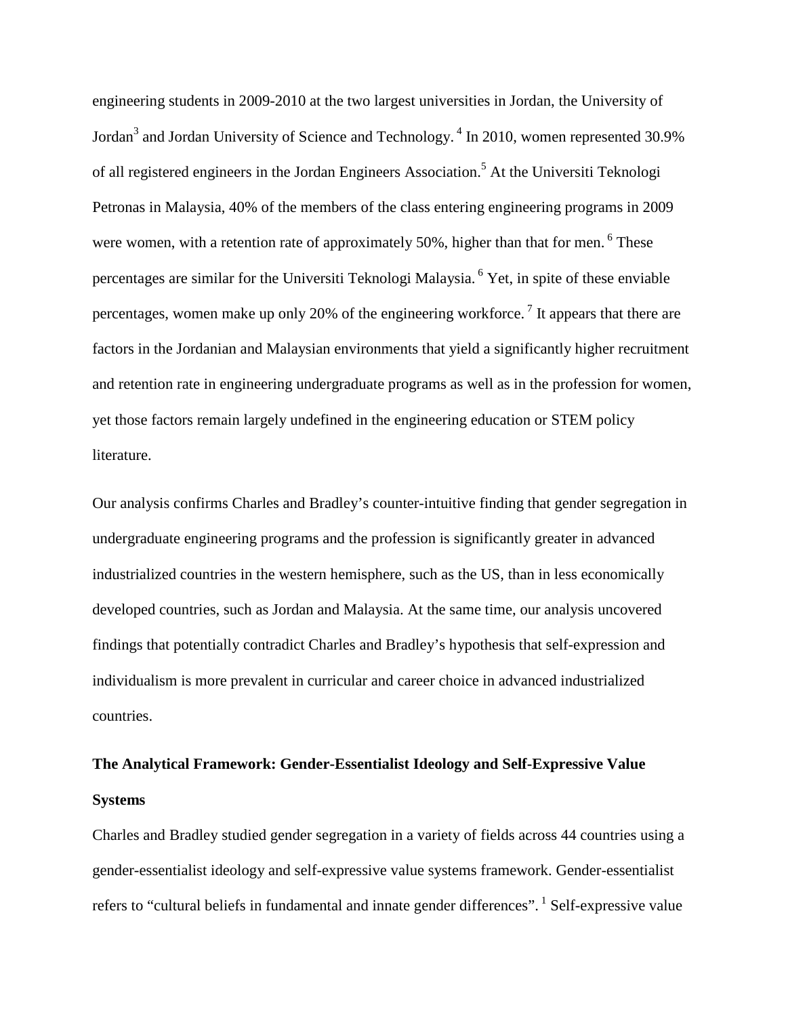engineering students in 2009-2010 at the two largest universities in Jordan, the University of Jordan<sup>3</sup> and Jordan University of Science and Technology.<sup>4</sup> In 2010, women represented 30.9% of all registered engineers in the Jordan Engineers Association. <sup>5</sup> At the Universiti Teknologi Petronas in Malaysia, 40% of the members of the class entering engineering programs in 2009 were women, with a retention rate of approximately 50%, higher than that for men.  $6$  These percentages are similar for the Universiti Teknologi Malaysia. <sup>6</sup> Yet, in spite of these enviable percentages, women make up only 20% of the engineering workforce.<sup>7</sup> It appears that there are factors in the Jordanian and Malaysian environments that yield a significantly higher recruitment and retention rate in engineering undergraduate programs as well as in the profession for women, yet those factors remain largely undefined in the engineering education or STEM policy literature.

Our analysis confirms Charles and Bradley's counter-intuitive finding that gender segregation in undergraduate engineering programs and the profession is significantly greater in advanced industrialized countries in the western hemisphere, such as the US, than in less economically developed countries, such as Jordan and Malaysia. At the same time, our analysis uncovered findings that potentially contradict Charles and Bradley's hypothesis that self-expression and individualism is more prevalent in curricular and career choice in advanced industrialized countries.

# **The Analytical Framework: Gender-Essentialist Ideology and Self-Expressive Value Systems**

Charles and Bradley studied gender segregation in a variety of fields across 44 countries using a gender-essentialist ideology and self-expressive value systems framework. Gender-essentialist refers to "cultural beliefs in fundamental and innate gender differences". <sup>1</sup> Self-expressive value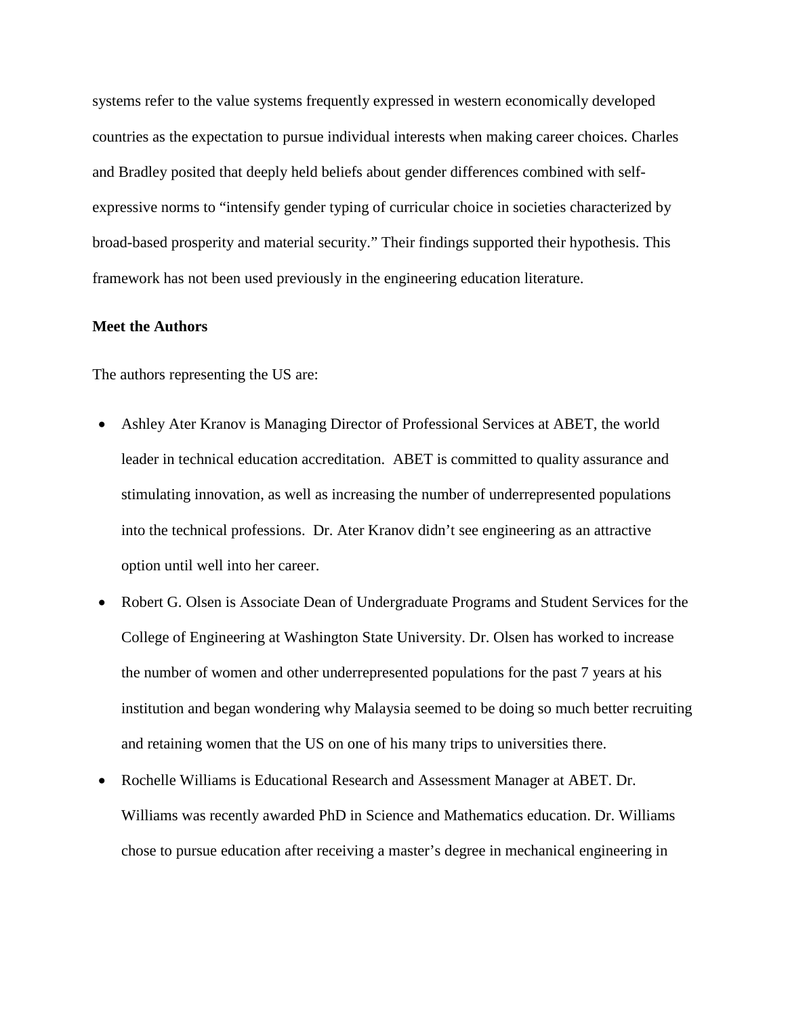systems refer to the value systems frequently expressed in western economically developed countries as the expectation to pursue individual interests when making career choices. Charles and Bradley posited that deeply held beliefs about gender differences combined with selfexpressive norms to "intensify gender typing of curricular choice in societies characterized by broad-based prosperity and material security." Their findings supported their hypothesis. This framework has not been used previously in the engineering education literature.

## **Meet the Authors**

The authors representing the US are:

- Ashley Ater Kranov is Managing Director of Professional Services at ABET, the world leader in technical education accreditation. ABET is committed to quality assurance and stimulating innovation, as well as increasing the number of underrepresented populations into the technical professions. Dr. Ater Kranov didn't see engineering as an attractive option until well into her career.
- Robert G. Olsen is Associate Dean of Undergraduate Programs and Student Services for the College of Engineering at Washington State University. Dr. Olsen has worked to increase the number of women and other underrepresented populations for the past 7 years at his institution and began wondering why Malaysia seemed to be doing so much better recruiting and retaining women that the US on one of his many trips to universities there.
- Rochelle Williams is Educational Research and Assessment Manager at ABET. Dr. Williams was recently awarded PhD in Science and Mathematics education. Dr. Williams chose to pursue education after receiving a master's degree in mechanical engineering in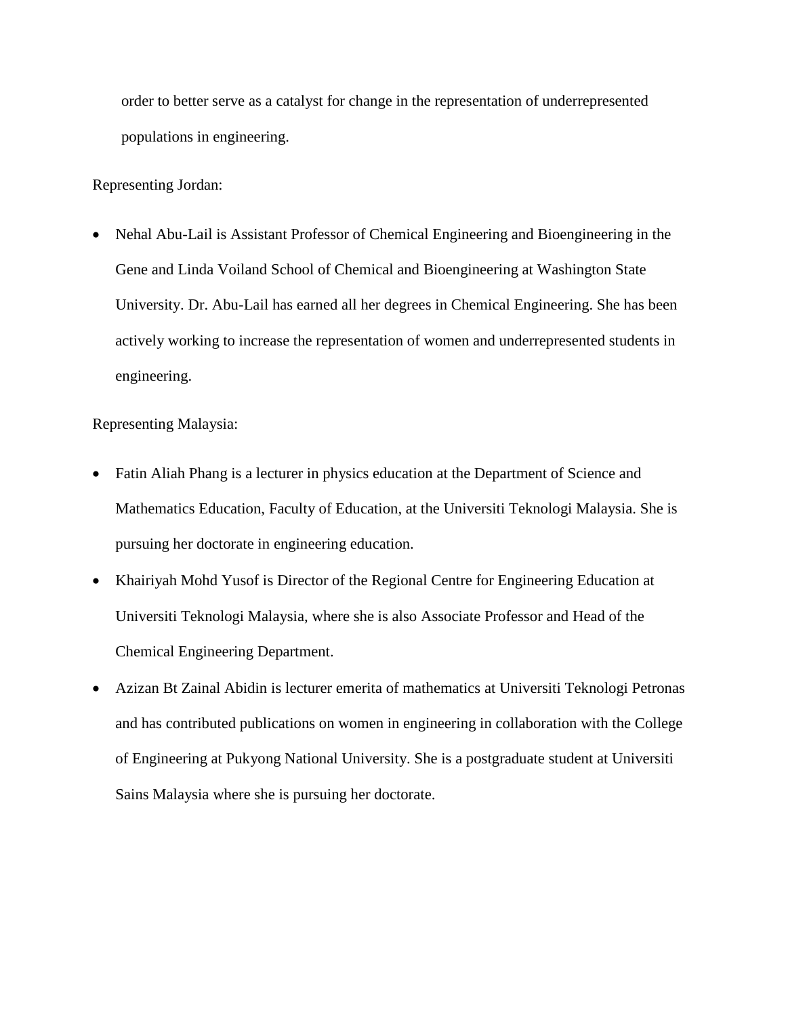order to better serve as a catalyst for change in the representation of underrepresented populations in engineering.

# Representing Jordan:

• Nehal Abu-Lail is Assistant Professor of Chemical Engineering and Bioengineering in the Gene and Linda Voiland School of Chemical and Bioengineering at Washington State University. Dr. Abu-Lail has earned all her degrees in Chemical Engineering. She has been actively working to increase the representation of women and underrepresented students in engineering.

## Representing Malaysia:

- Fatin Aliah Phang is a lecturer in physics education at the Department of Science and Mathematics Education, Faculty of Education, at the Universiti Teknologi Malaysia. She is pursuing her doctorate in engineering education.
- Khairiyah Mohd Yusof is Director of the Regional Centre for Engineering Education at Universiti Teknologi Malaysia, where she is also Associate Professor and Head of the Chemical Engineering Department.
- Azizan Bt Zainal Abidin is lecturer emerita of mathematics at Universiti Teknologi Petronas and has contributed publications on women in engineering in collaboration with the College of Engineering at Pukyong National University. She is a postgraduate student at Universiti Sains Malaysia where she is pursuing her doctorate.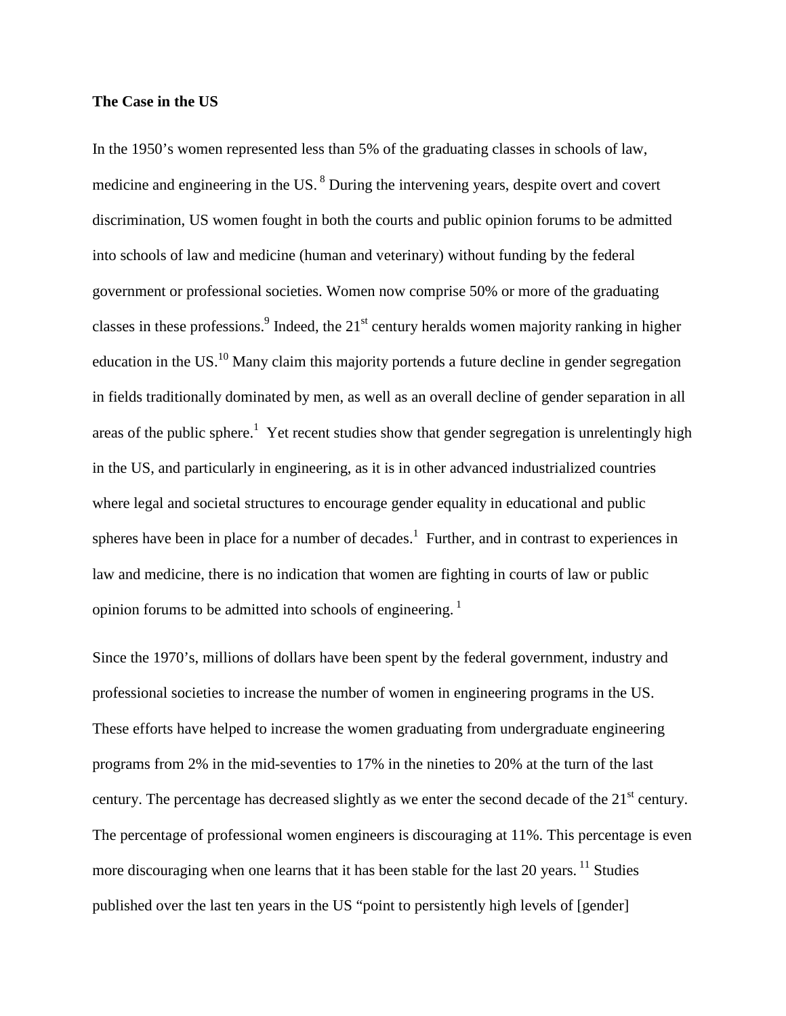### **The Case in the US**

In the 1950's women represented less than 5% of the graduating classes in schools of law, medicine and engineering in the US.<sup>8</sup> During the intervening years, despite overt and covert discrimination, US women fought in both the courts and public opinion forums to be admitted into schools of law and medicine (human and veterinary) without funding by the federal government or professional societies. Women now comprise 50% or more of the graduating classes in these professions.<sup>9</sup> Indeed, the 21<sup>st</sup> century heralds women majority ranking in higher education in the US. $^{10}$  Many claim this majority portends a future decline in gender segregation in fields traditionally dominated by men, as well as an overall decline of gender separation in all areas of the public sphere.<sup>1</sup> Yet recent studies show that gender segregation is unrelentingly high in the US, and particularly in engineering, as it is in other advanced industrialized countries where legal and societal structures to encourage gender equality in educational and public spheres have been in place for a number of decades.<sup>1</sup> Further, and in contrast to experiences in law and medicine, there is no indication that women are fighting in courts of law or public opinion forums to be admitted into schools of engineering.<sup>1</sup>

Since the 1970's, millions of dollars have been spent by the federal government, industry and professional societies to increase the number of women in engineering programs in the US. These efforts have helped to increase the women graduating from undergraduate engineering programs from 2% in the mid-seventies to 17% in the nineties to 20% at the turn of the last century. The percentage has decreased slightly as we enter the second decade of the 21<sup>st</sup> century. The percentage of professional women engineers is discouraging at 11%. This percentage is even more discouraging when one learns that it has been stable for the last 20 years.  $\frac{11}{11}$  Studies published over the last ten years in the US "point to persistently high levels of [gender]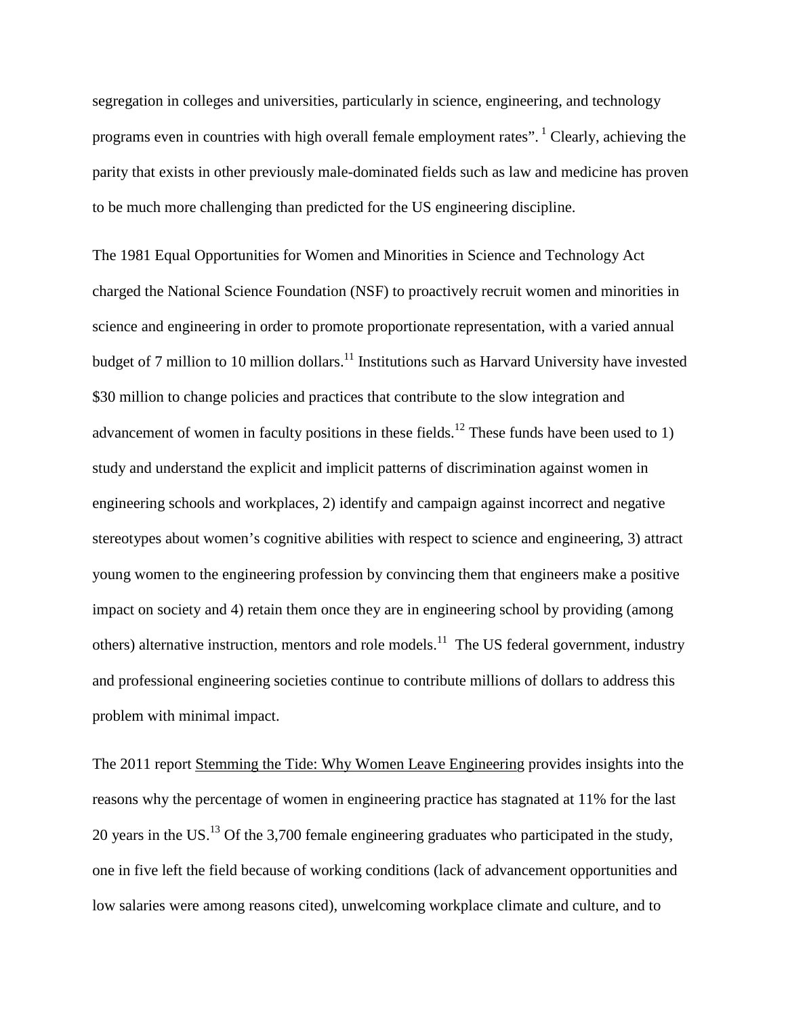segregation in colleges and universities, particularly in science, engineering, and technology programs even in countries with high overall female employment rates". <sup>1</sup> Clearly, achieving the parity that exists in other previously male-dominated fields such as law and medicine has proven to be much more challenging than predicted for the US engineering discipline.

The 1981 Equal Opportunities for Women and Minorities in Science and Technology Act charged the National Science Foundation (NSF) to proactively recruit women and minorities in science and engineering in order to promote proportionate representation, with a varied annual budget of 7 million to 10 million dollars.<sup>11</sup> Institutions such as Harvard University have invested \$30 million to change policies and practices that contribute to the slow integration and advancement of women in faculty positions in these fields.<sup>12</sup> These funds have been used to 1) study and understand the explicit and implicit patterns of discrimination against women in engineering schools and workplaces, 2) identify and campaign against incorrect and negative stereotypes about women's cognitive abilities with respect to science and engineering, 3) attract young women to the engineering profession by convincing them that engineers make a positive impact on society and 4) retain them once they are in engineering school by providing (among others) alternative instruction, mentors and role models.<sup>11</sup> The US federal government, industry and professional engineering societies continue to contribute millions of dollars to address this problem with minimal impact.

The 2011 report Stemming the Tide: Why Women Leave Engineering provides insights into the reasons why the percentage of women in engineering practice has stagnated at 11% for the last 20 years in the US.<sup>13</sup> Of the 3,700 female engineering graduates who participated in the study, one in five left the field because of working conditions (lack of advancement opportunities and low salaries were among reasons cited), unwelcoming workplace climate and culture, and to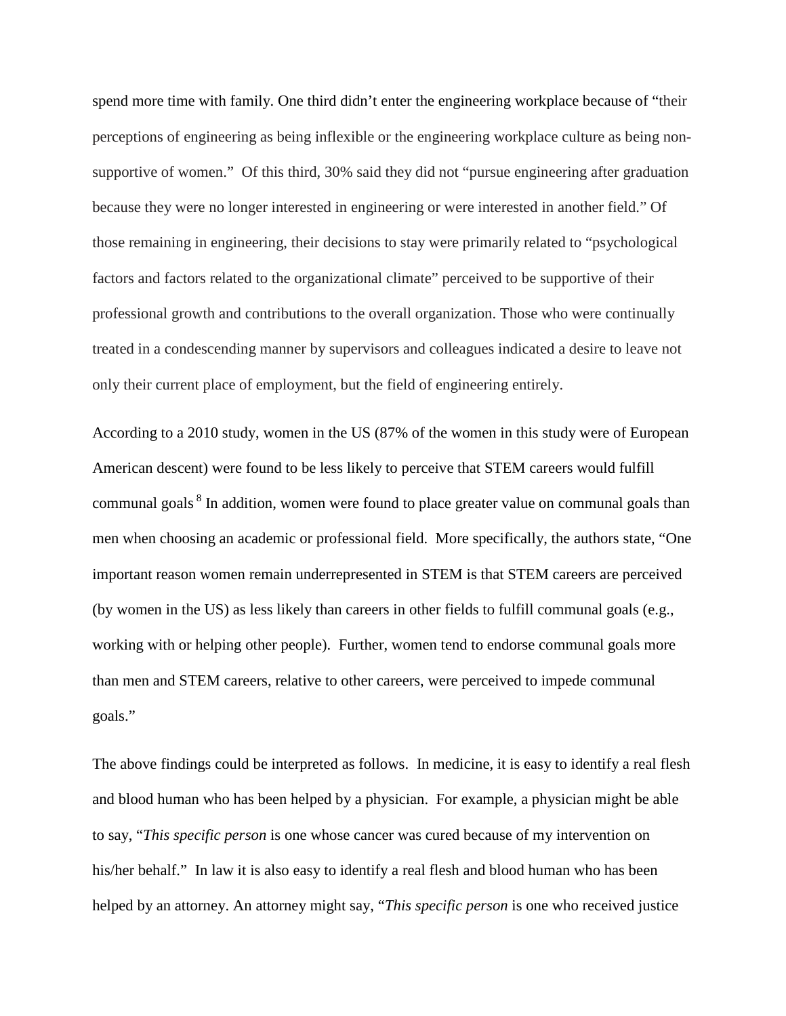spend more time with family. One third didn't enter the engineering workplace because of "their perceptions of engineering as being inflexible or the engineering workplace culture as being nonsupportive of women." Of this third, 30% said they did not "pursue engineering after graduation because they were no longer interested in engineering or were interested in another field." Of those remaining in engineering, their decisions to stay were primarily related to "psychological factors and factors related to the organizational climate" perceived to be supportive of their professional growth and contributions to the overall organization. Those who were continually treated in a condescending manner by supervisors and colleagues indicated a desire to leave not only their current place of employment, but the field of engineering entirely.

According to a 2010 study, women in the US (87% of the women in this study were of European American descent) were found to be less likely to perceive that STEM careers would fulfill communal goals <sup>8</sup> In addition, women were found to place greater value on communal goals than men when choosing an academic or professional field. More specifically, the authors state, "One important reason women remain underrepresented in STEM is that STEM careers are perceived (by women in the US) as less likely than careers in other fields to fulfill communal goals (e.g., working with or helping other people). Further, women tend to endorse communal goals more than men and STEM careers, relative to other careers, were perceived to impede communal goals."

The above findings could be interpreted as follows. In medicine, it is easy to identify a real flesh and blood human who has been helped by a physician. For example, a physician might be able to say, "*This specific person* is one whose cancer was cured because of my intervention on his/her behalf." In law it is also easy to identify a real flesh and blood human who has been helped by an attorney. An attorney might say, "*This specific person* is one who received justice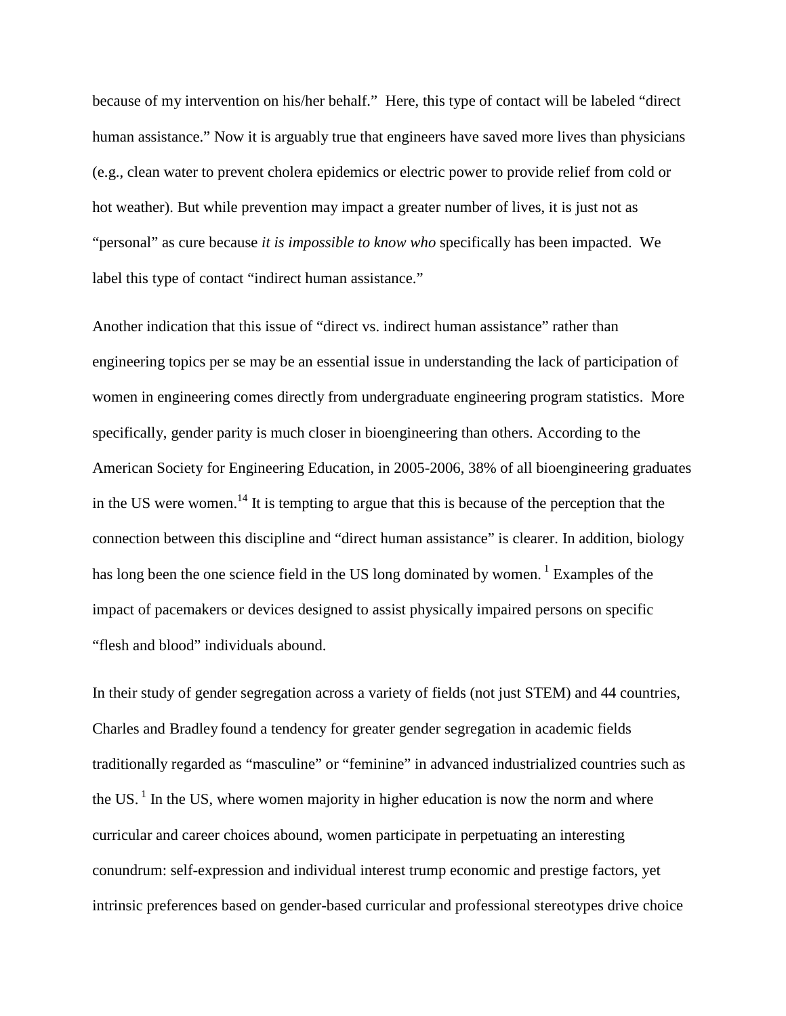because of my intervention on his/her behalf." Here, this type of contact will be labeled "direct human assistance." Now it is arguably true that engineers have saved more lives than physicians (e.g., clean water to prevent cholera epidemics or electric power to provide relief from cold or hot weather). But while prevention may impact a greater number of lives, it is just not as "personal" as cure because *it is impossible to know who* specifically has been impacted. We label this type of contact "indirect human assistance."

Another indication that this issue of "direct vs. indirect human assistance" rather than engineering topics per se may be an essential issue in understanding the lack of participation of women in engineering comes directly from undergraduate engineering program statistics. More specifically, gender parity is much closer in bioengineering than others. According to the American Society for Engineering Education, in 2005-2006, 38% of all bioengineering graduates in the US were women.<sup>14</sup> It is tempting to argue that this is because of the perception that the connection between this discipline and "direct human assistance" is clearer. In addition, biology has long been the one science field in the US long dominated by women. <sup>1</sup> Examples of the impact of pacemakers or devices designed to assist physically impaired persons on specific "flesh and blood" individuals abound.

In their study of gender segregation across a variety of fields (not just STEM) and 44 countries, Charles and Bradley found a tendency for greater gender segregation in academic fields traditionally regarded as "masculine" or "feminine" in advanced industrialized countries such as the US.<sup>1</sup> In the US, where women majority in higher education is now the norm and where curricular and career choices abound, women participate in perpetuating an interesting conundrum: self-expression and individual interest trump economic and prestige factors, yet intrinsic preferences based on gender-based curricular and professional stereotypes drive choice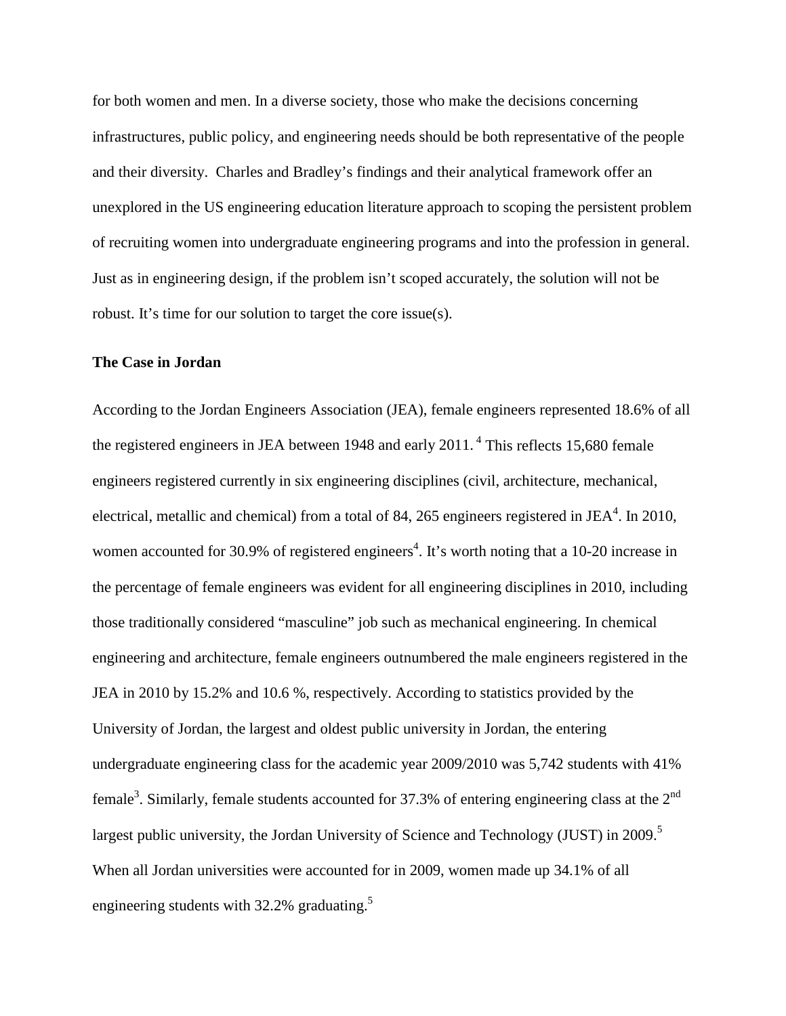for both women and men. In a diverse society, those who make the decisions concerning infrastructures, public policy, and engineering needs should be both representative of the people and their diversity. Charles and Bradley's findings and their analytical framework offer an unexplored in the US engineering education literature approach to scoping the persistent problem of recruiting women into undergraduate engineering programs and into the profession in general. Just as in engineering design, if the problem isn't scoped accurately, the solution will not be robust. It's time for our solution to target the core issue(s).

### **The Case in Jordan**

According to the Jordan Engineers Association (JEA), female engineers represented 18.6% of all the registered engineers in JEA between 1948 and early 2011.<sup>4</sup> This reflects 15,680 female engineers registered currently in six engineering disciplines (civil, architecture, mechanical, electrical, metallic and chemical) from a total of 84, 265 engineers registered in JEA<sup>4</sup>. In 2010, women accounted for 30.9% of registered engineers<sup>4</sup>. It's worth noting that a 10-20 increase in the percentage of female engineers was evident for all engineering disciplines in 2010, including those traditionally considered "masculine" job such as mechanical engineering. In chemical engineering and architecture, female engineers outnumbered the male engineers registered in the JEA in 2010 by 15.2% and 10.6 %, respectively. According to statistics provided by the University of Jordan, the largest and oldest public university in Jordan, the entering undergraduate engineering class for the academic year 2009/2010 was 5,742 students with 41% female<sup>3</sup>. Similarly, female students accounted for 37.3% of entering engineering class at the  $2^{nd}$ largest public university, the Jordan University of Science and Technology (JUST) in 2009.<sup>5</sup> When all Jordan universities were accounted for in 2009, women made up 34.1% of all engineering students with 32.2% graduating.<sup>5</sup>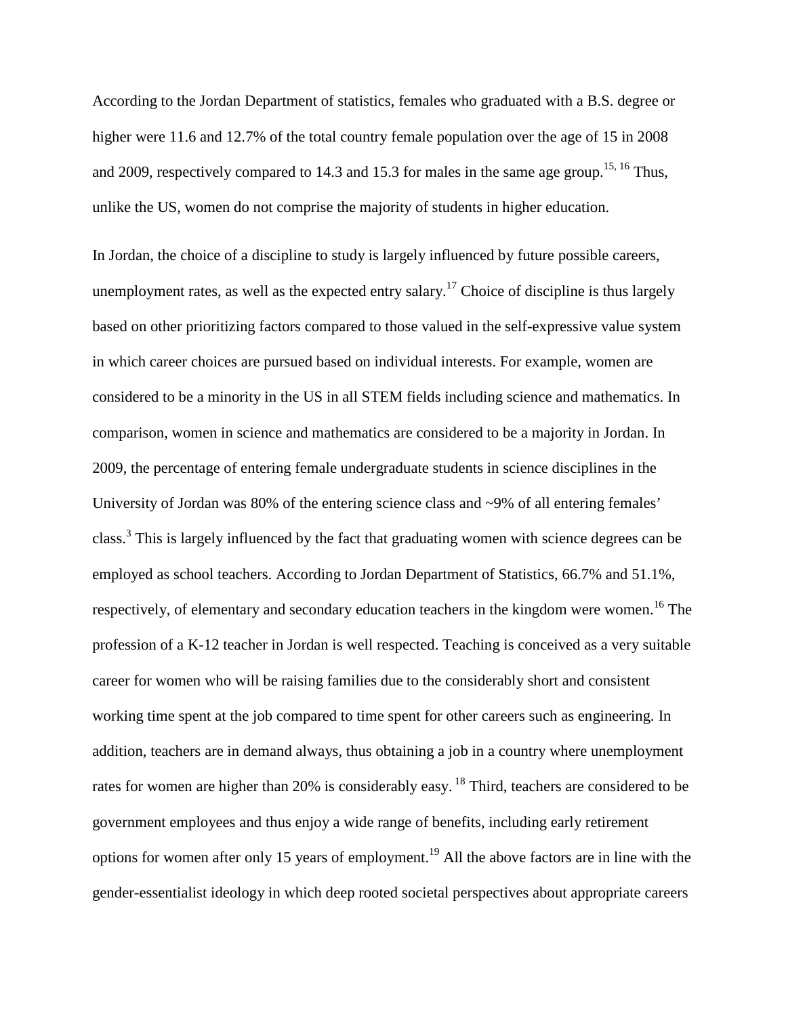According to the Jordan Department of statistics, females who graduated with a B.S. degree or higher were 11.6 and 12.7% of the total country female population over the age of 15 in 2008 and 2009, respectively compared to 14.3 and 15.3 for males in the same age group.<sup>15, 16</sup> Thus, unlike the US, women do not comprise the majority of students in higher education.

In Jordan, the choice of a discipline to study is largely influenced by future possible careers, unemployment rates, as well as the expected entry salary.<sup>17</sup> Choice of discipline is thus largely based on other prioritizing factors compared to those valued in the self-expressive value system in which career choices are pursued based on individual interests. For example, women are considered to be a minority in the US in all STEM fields including science and mathematics. In comparison, women in science and mathematics are considered to be a majority in Jordan. In 2009, the percentage of entering female undergraduate students in science disciplines in the University of Jordan was 80% of the entering science class and ~9% of all entering females' class.<sup>3</sup> This is largely influenced by the fact that graduating women with science degrees can be employed as school teachers. According to Jordan Department of Statistics, 66.7% and 51.1%, respectively, of elementary and secondary education teachers in the kingdom were women.<sup>16</sup> The profession of a K-12 teacher in Jordan is well respected. Teaching is conceived as a very suitable career for women who will be raising families due to the considerably short and consistent working time spent at the job compared to time spent for other careers such as engineering. In addition, teachers are in demand always, thus obtaining a job in a country where unemployment rates for women are higher than 20% is considerably easy. <sup>18</sup> Third, teachers are considered to be government employees and thus enjoy a wide range of benefits, including early retirement options for women after only 15 years of employment.<sup>19</sup> All the above factors are in line with the gender-essentialist ideology in which deep rooted societal perspectives about appropriate careers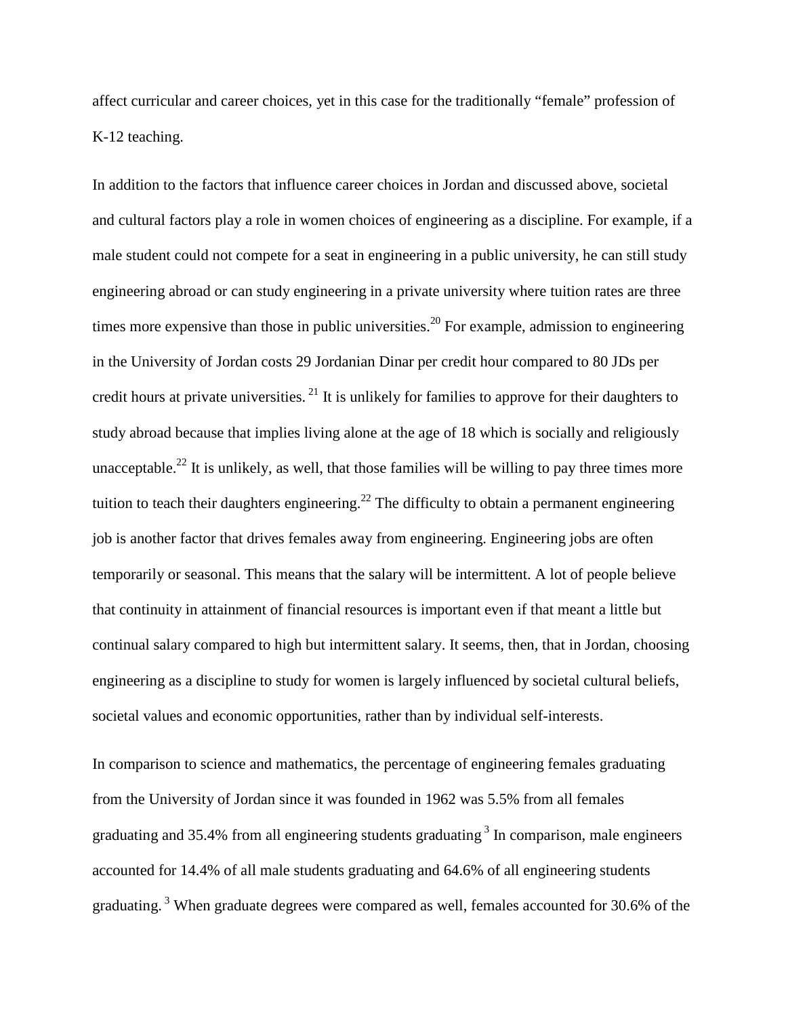affect curricular and career choices, yet in this case for the traditionally "female" profession of K-12 teaching.

In addition to the factors that influence career choices in Jordan and discussed above, societal and cultural factors play a role in women choices of engineering as a discipline. For example, if a male student could not compete for a seat in engineering in a public university, he can still study engineering abroad or can study engineering in a private university where tuition rates are three times more expensive than those in public universities.<sup>20</sup> For example, admission to engineering in the University of Jordan costs 29 Jordanian Dinar per credit hour compared to 80 JDs per credit hours at private universities.<sup>21</sup> It is unlikely for families to approve for their daughters to study abroad because that implies living alone at the age of 18 which is socially and religiously unacceptable.<sup>22</sup> It is unlikely, as well, that those families will be willing to pay three times more tuition to teach their daughters engineering.<sup>22</sup> The difficulty to obtain a permanent engineering job is another factor that drives females away from engineering. Engineering jobs are often temporarily or seasonal. This means that the salary will be intermittent. A lot of people believe that continuity in attainment of financial resources is important even if that meant a little but continual salary compared to high but intermittent salary. It seems, then, that in Jordan, choosing engineering as a discipline to study for women is largely influenced by societal cultural beliefs, societal values and economic opportunities, rather than by individual self-interests.

In comparison to science and mathematics, the percentage of engineering females graduating from the University of Jordan since it was founded in 1962 was 5.5% from all females graduating and 35.4% from all engineering students graduating  $3 \text{ In comparison, male engineers}$ accounted for 14.4% of all male students graduating and 64.6% of all engineering students graduating.<sup>3</sup> When graduate degrees were compared as well, females accounted for 30.6% of the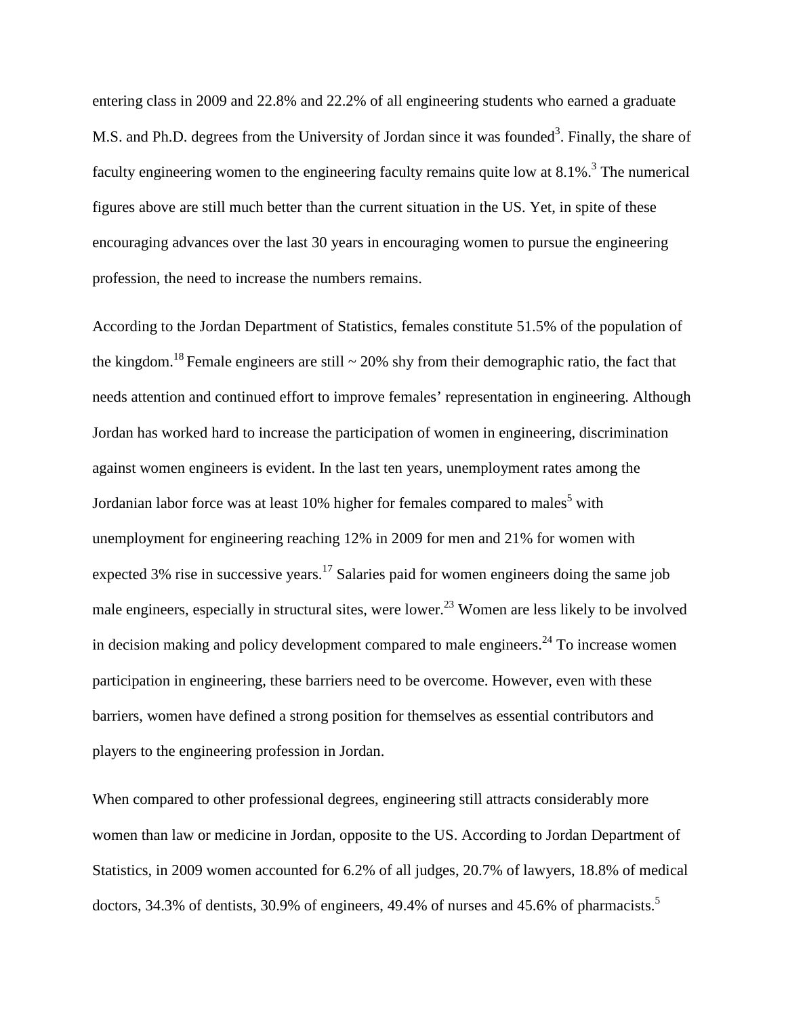entering class in 2009 and 22.8% and 22.2% of all engineering students who earned a graduate M.S. and Ph.D. degrees from the University of Jordan since it was founded<sup>3</sup>. Finally, the share of faculty engineering women to the engineering faculty remains quite low at  $8.1\%$ .<sup>3</sup> The numerical figures above are still much better than the current situation in the US. Yet, in spite of these encouraging advances over the last 30 years in encouraging women to pursue the engineering profession, the need to increase the numbers remains.

According to the Jordan Department of Statistics, females constitute 51.5% of the population of the kingdom.<sup>18</sup> Female engineers are still  $\sim$  20% shy from their demographic ratio, the fact that needs attention and continued effort to improve females' representation in engineering. Although Jordan has worked hard to increase the participation of women in engineering, discrimination against women engineers is evident. In the last ten years, unemployment rates among the Jordanian labor force was at least 10% higher for females compared to males<sup>5</sup> with unemployment for engineering reaching 12% in 2009 for men and 21% for women with expected 3% rise in successive years.<sup>17</sup> Salaries paid for women engineers doing the same job male engineers, especially in structural sites, were lower.<sup>23</sup> Women are less likely to be involved in decision making and policy development compared to male engineers.<sup>24</sup> To increase women participation in engineering, these barriers need to be overcome. However, even with these barriers, women have defined a strong position for themselves as essential contributors and players to the engineering profession in Jordan.

When compared to other professional degrees, engineering still attracts considerably more women than law or medicine in Jordan, opposite to the US. According to Jordan Department of Statistics, in 2009 women accounted for 6.2% of all judges, 20.7% of lawyers, 18.8% of medical doctors, 34.3% of dentists, 30.9% of engineers, 49.4% of nurses and 45.6% of pharmacists.<sup>5</sup>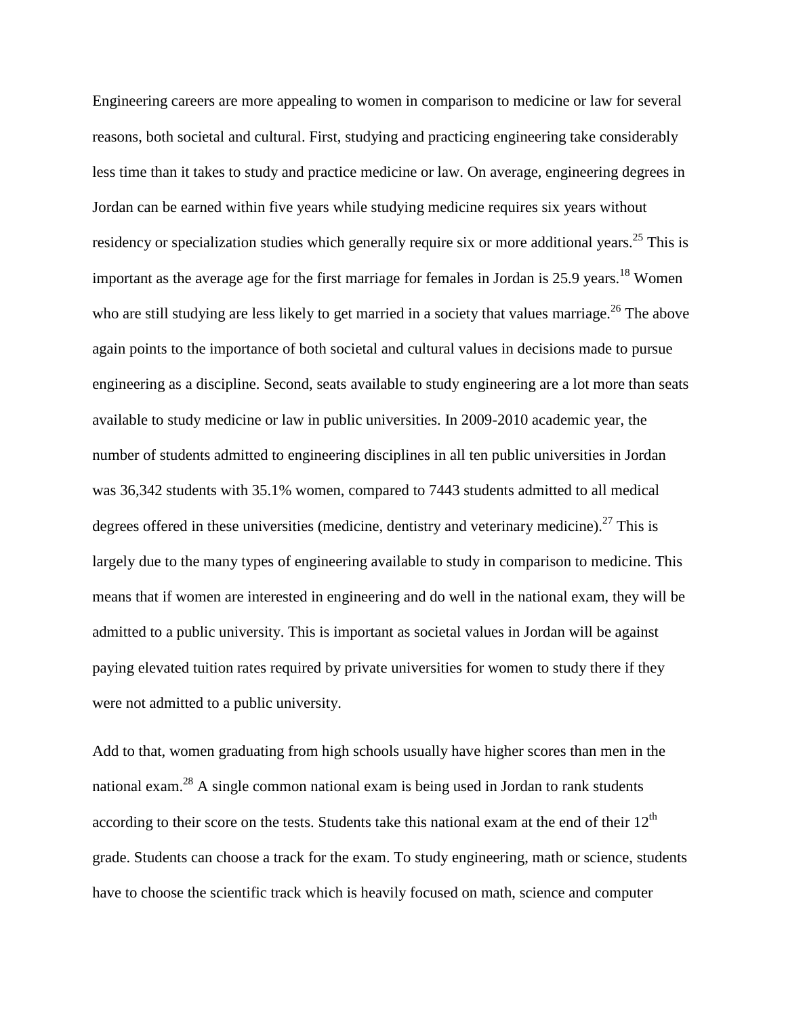Engineering careers are more appealing to women in comparison to medicine or law for several reasons, both societal and cultural. First, studying and practicing engineering take considerably less time than it takes to study and practice medicine or law. On average, engineering degrees in Jordan can be earned within five years while studying medicine requires six years without residency or specialization studies which generally require six or more additional years.<sup>25</sup> This is important as the average age for the first marriage for females in Jordan is 25.9 years.<sup>18</sup> Women who are still studying are less likely to get married in a society that values marriage.<sup>26</sup> The above again points to the importance of both societal and cultural values in decisions made to pursue engineering as a discipline. Second, seats available to study engineering are a lot more than seats available to study medicine or law in public universities. In 2009-2010 academic year, the number of students admitted to engineering disciplines in all ten public universities in Jordan was 36,342 students with 35.1% women, compared to 7443 students admitted to all medical degrees offered in these universities (medicine, dentistry and veterinary medicine).<sup>27</sup> This is largely due to the many types of engineering available to study in comparison to medicine. This means that if women are interested in engineering and do well in the national exam, they will be admitted to a public university. This is important as societal values in Jordan will be against paying elevated tuition rates required by private universities for women to study there if they were not admitted to a public university.

Add to that, women graduating from high schools usually have higher scores than men in the national exam.<sup>28</sup> A single common national exam is being used in Jordan to rank students according to their score on the tests. Students take this national exam at the end of their  $12<sup>th</sup>$ grade. Students can choose a track for the exam. To study engineering, math or science, students have to choose the scientific track which is heavily focused on math, science and computer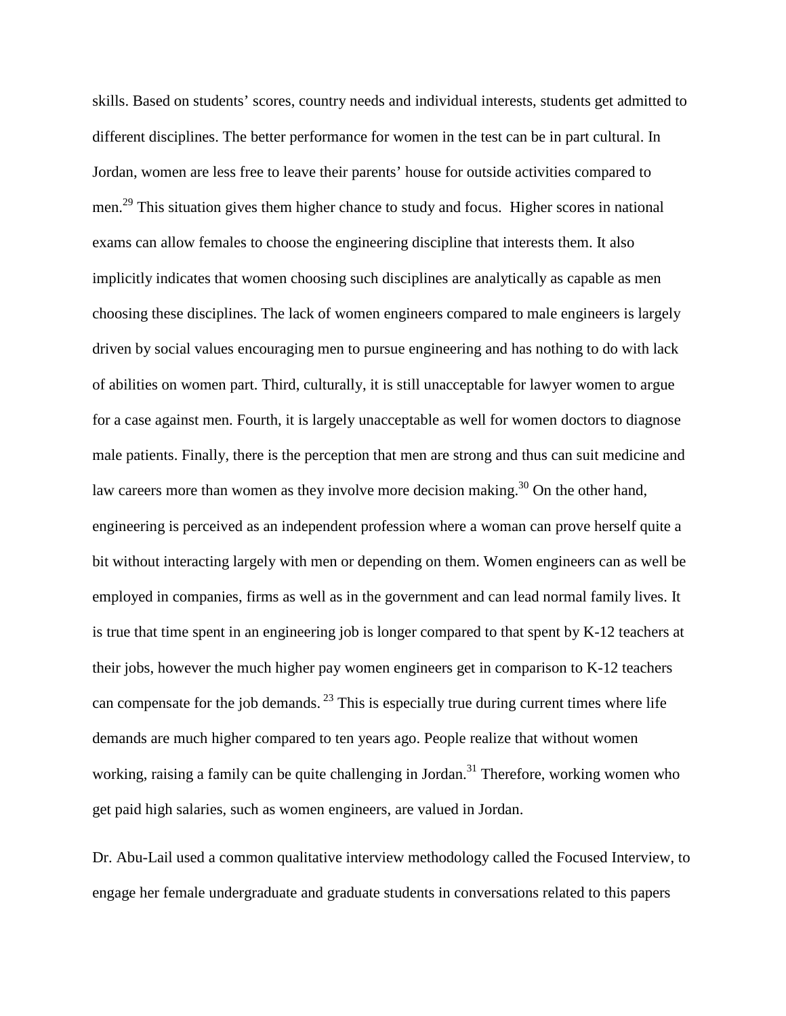skills. Based on students' scores, country needs and individual interests, students get admitted to different disciplines. The better performance for women in the test can be in part cultural. In Jordan, women are less free to leave their parents' house for outside activities compared to men.29 This situation gives them higher chance to study and focus. Higher scores in national exams can allow females to choose the engineering discipline that interests them. It also implicitly indicates that women choosing such disciplines are analytically as capable as men choosing these disciplines. The lack of women engineers compared to male engineers is largely driven by social values encouraging men to pursue engineering and has nothing to do with lack of abilities on women part. Third, culturally, it is still unacceptable for lawyer women to argue for a case against men. Fourth, it is largely unacceptable as well for women doctors to diagnose male patients. Finally, there is the perception that men are strong and thus can suit medicine and law careers more than women as they involve more decision making.<sup>30</sup> On the other hand, engineering is perceived as an independent profession where a woman can prove herself quite a bit without interacting largely with men or depending on them. Women engineers can as well be employed in companies, firms as well as in the government and can lead normal family lives. It is true that time spent in an engineering job is longer compared to that spent by K-12 teachers at their jobs, however the much higher pay women engineers get in comparison to K-12 teachers can compensate for the job demands.  $^{23}$  This is especially true during current times where life demands are much higher compared to ten years ago. People realize that without women working, raising a family can be quite challenging in Jordan.<sup>31</sup> Therefore, working women who get paid high salaries, such as women engineers, are valued in Jordan.

Dr. Abu-Lail used a common qualitative interview methodology called the Focused Interview, to engage her female undergraduate and graduate students in conversations related to this papers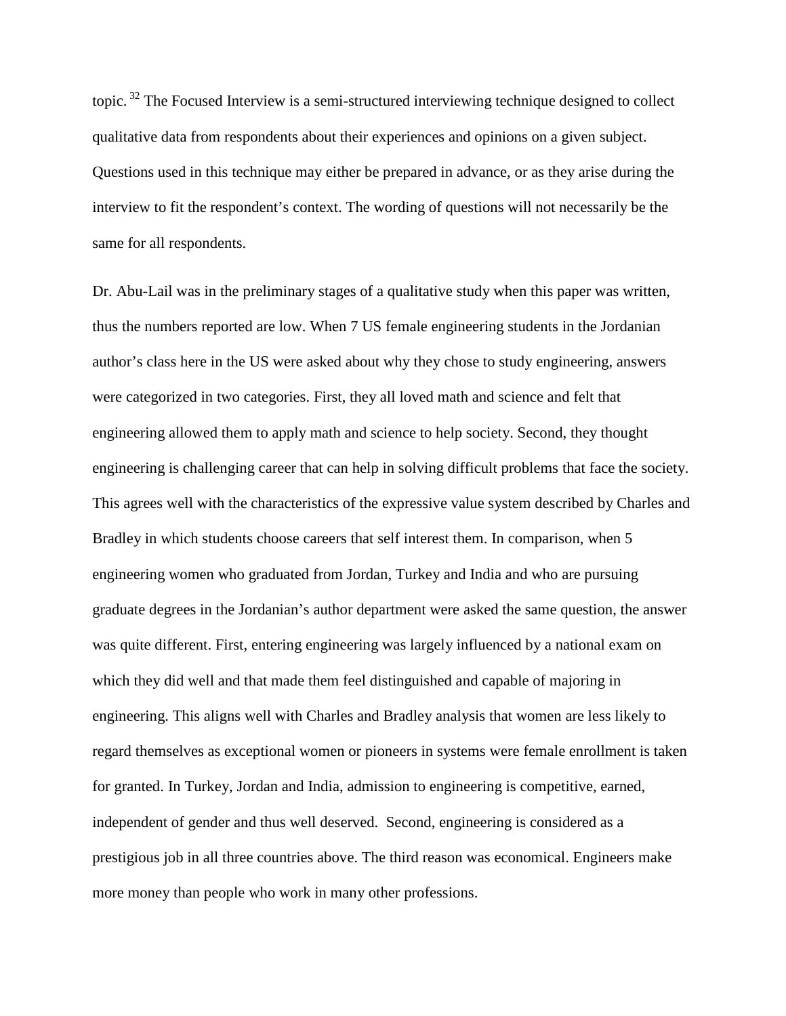topic. <sup>32</sup> The Focused Interview is a semi-structured interviewing technique designed to collect qualitative data from respondents about their experiences and opinions on a given subject. Questions used in this technique may either be prepared in advance, or as they arise during the interview to fit the respondent's context. The wording of questions will not necessarily be the same for all respondents.

Dr. Abu-Lail was in the preliminary stages of a qualitative study when this paper was written, thus the numbers reported are low. When 7 US female engineering students in the Jordanian author's class here in the US were asked about why they chose to study engineering, answers were categorized in two categories. First, they all loved math and science and felt that engineering allowed them to apply math and science to help society. Second, they thought engineering is challenging career that can help in solving difficult problems that face the society. This agrees well with the characteristics of the expressive value system described by Charles and Bradley in which students choose careers that self interest them. In comparison, when 5 engineering women who graduated from Jordan, Turkey and India and who are pursuing graduate degrees in the Jordanian's author department were asked the same question, the answer was quite different. First, entering engineering was largely influenced by a national exam on which they did well and that made them feel distinguished and capable of majoring in engineering. This aligns well with Charles and Bradley analysis that women are less likely to regard themselves as exceptional women or pioneers in systems were female enrollment is taken for granted. In Turkey, Jordan and India, admission to engineering is competitive, earned, independent of gender and thus well deserved. Second, engineering is considered as a prestigious job in all three countries above. The third reason was economical. Engineers make more money than people who work in many other professions.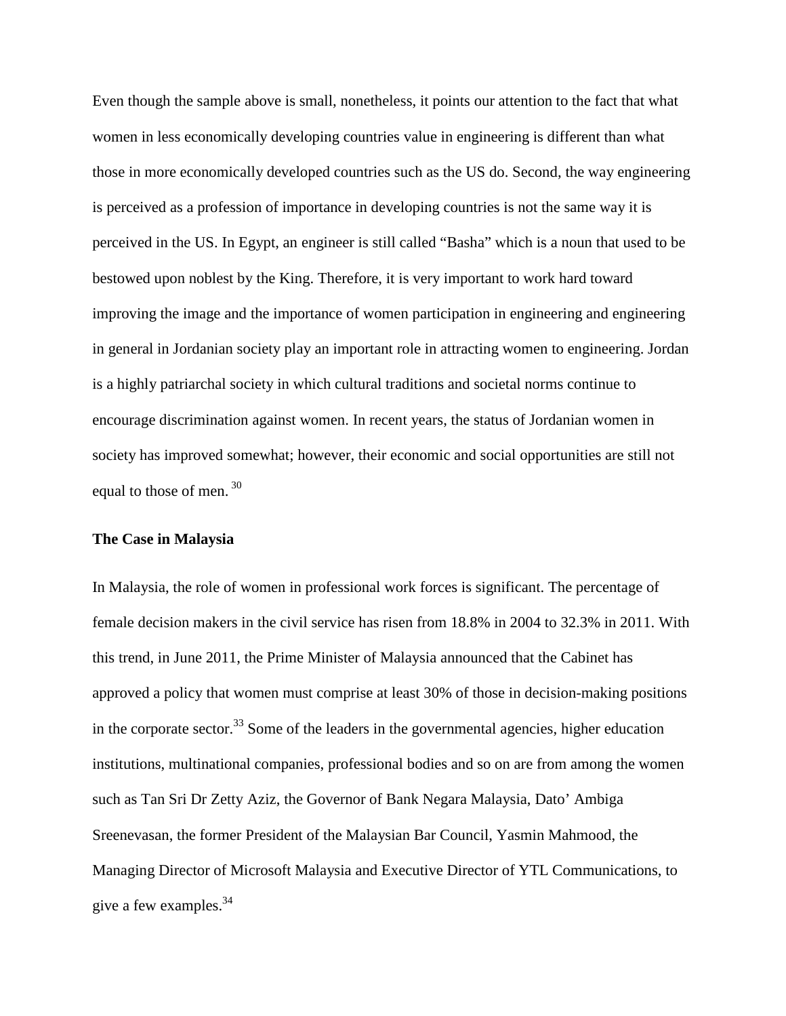Even though the sample above is small, nonetheless, it points our attention to the fact that what women in less economically developing countries value in engineering is different than what those in more economically developed countries such as the US do. Second, the way engineering is perceived as a profession of importance in developing countries is not the same way it is perceived in the US. In Egypt, an engineer is still called "Basha" which is a noun that used to be bestowed upon noblest by the King. Therefore, it is very important to work hard toward improving the image and the importance of women participation in engineering and engineering in general in Jordanian society play an important role in attracting women to engineering. Jordan is a highly patriarchal society in which cultural traditions and societal norms continue to encourage discrimination against women. In recent years, the status of Jordanian women in society has improved somewhat; however, their economic and social opportunities are still not equal to those of men.<sup>30</sup>

### **The Case in Malaysia**

In Malaysia, the role of women in professional work forces is significant. The percentage of female decision makers in the civil service has risen from 18.8% in 2004 to 32.3% in 2011. With this trend, in June 2011, the Prime Minister of Malaysia announced that the Cabinet has approved a policy that women must comprise at least 30% of those in decision-making positions in the corporate sector.<sup>33</sup> Some of the leaders in the governmental agencies, higher education institutions, multinational companies, professional bodies and so on are from among the women such as Tan Sri Dr Zetty Aziz, the Governor of Bank Negara Malaysia, Dato' Ambiga Sreenevasan, the former President of the Malaysian Bar Council, Yasmin Mahmood, the Managing Director of Microsoft Malaysia and Executive Director of YTL Communications, to give a few examples.<sup>34</sup>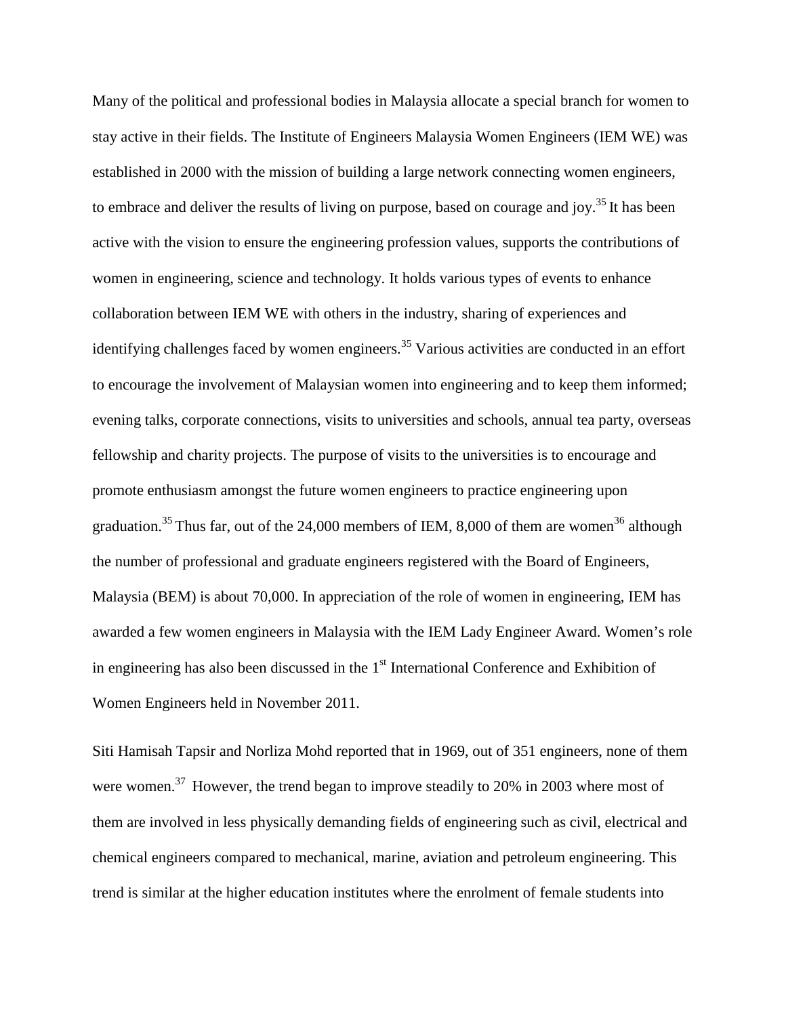Many of the political and professional bodies in Malaysia allocate a special branch for women to stay active in their fields. The Institute of Engineers Malaysia Women Engineers (IEM WE) was established in 2000 with the mission of building a large network connecting women engineers, to embrace and deliver the results of living on purpose, based on courage and joy.<sup>35</sup> It has been active with the vision to ensure the engineering profession values, supports the contributions of women in engineering, science and technology. It holds various types of events to enhance collaboration between IEM WE with others in the industry, sharing of experiences and identifying challenges faced by women engineers.<sup>35</sup> Various activities are conducted in an effort to encourage the involvement of Malaysian women into engineering and to keep them informed; evening talks, corporate connections, visits to universities and schools, annual tea party, overseas fellowship and charity projects. The purpose of visits to the universities is to encourage and promote enthusiasm amongst the future women engineers to practice engineering upon graduation.<sup>35</sup> Thus far, out of the 24,000 members of IEM, 8,000 of them are women<sup>36</sup> although the number of professional and graduate engineers registered with the Board of Engineers, Malaysia (BEM) is about 70,000. In appreciation of the role of women in engineering, IEM has awarded a few women engineers in Malaysia with the IEM Lady Engineer Award. Women's role in engineering has also been discussed in the  $1<sup>st</sup>$  International Conference and Exhibition of Women Engineers held in November 2011.

Siti Hamisah Tapsir and Norliza Mohd reported that in 1969, out of 351 engineers, none of them were women.<sup>37</sup> However, the trend began to improve steadily to 20% in 2003 where most of them are involved in less physically demanding fields of engineering such as civil, electrical and chemical engineers compared to mechanical, marine, aviation and petroleum engineering. This trend is similar at the higher education institutes where the enrolment of female students into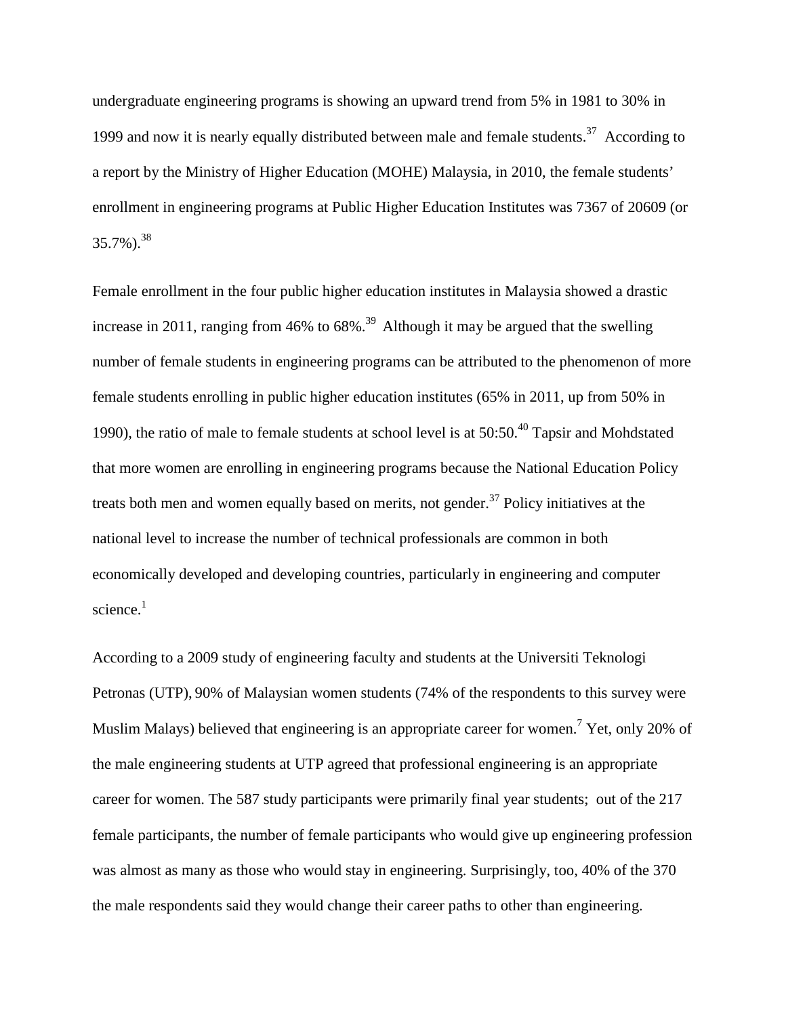undergraduate engineering programs is showing an upward trend from 5% in 1981 to 30% in 1999 and now it is nearly equally distributed between male and female students.<sup>37</sup> According to a report by the Ministry of Higher Education (MOHE) Malaysia, in 2010, the female students' enrollment in engineering programs at Public Higher Education Institutes was 7367 of 20609 (or  $35.7\%$ ).<sup>38</sup>

Female enrollment in the four public higher education institutes in Malaysia showed a drastic increase in 2011, ranging from 46% to 68%. 39 Although it may be argued that the swelling number of female students in engineering programs can be attributed to the phenomenon of more female students enrolling in public higher education institutes (65% in 2011, up from 50% in 1990), the ratio of male to female students at school level is at  $50:50<sup>40</sup>$  Tapsir and Mohdstated that more women are enrolling in engineering programs because the National Education Policy treats both men and women equally based on merits, not gender.<sup>37</sup> Policy initiatives at the national level to increase the number of technical professionals are common in both economically developed and developing countries, particularly in engineering and computer science.<sup>1</sup>

According to a 2009 study of engineering faculty and students at the Universiti Teknologi Petronas (UTP), 90% of Malaysian women students (74% of the respondents to this survey were Muslim Malays) believed that engineering is an appropriate career for women.<sup>7</sup> Yet, only 20% of the male engineering students at UTP agreed that professional engineering is an appropriate career for women. The 587 study participants were primarily final year students; out of the 217 female participants, the number of female participants who would give up engineering profession was almost as many as those who would stay in engineering. Surprisingly, too, 40% of the 370 the male respondents said they would change their career paths to other than engineering.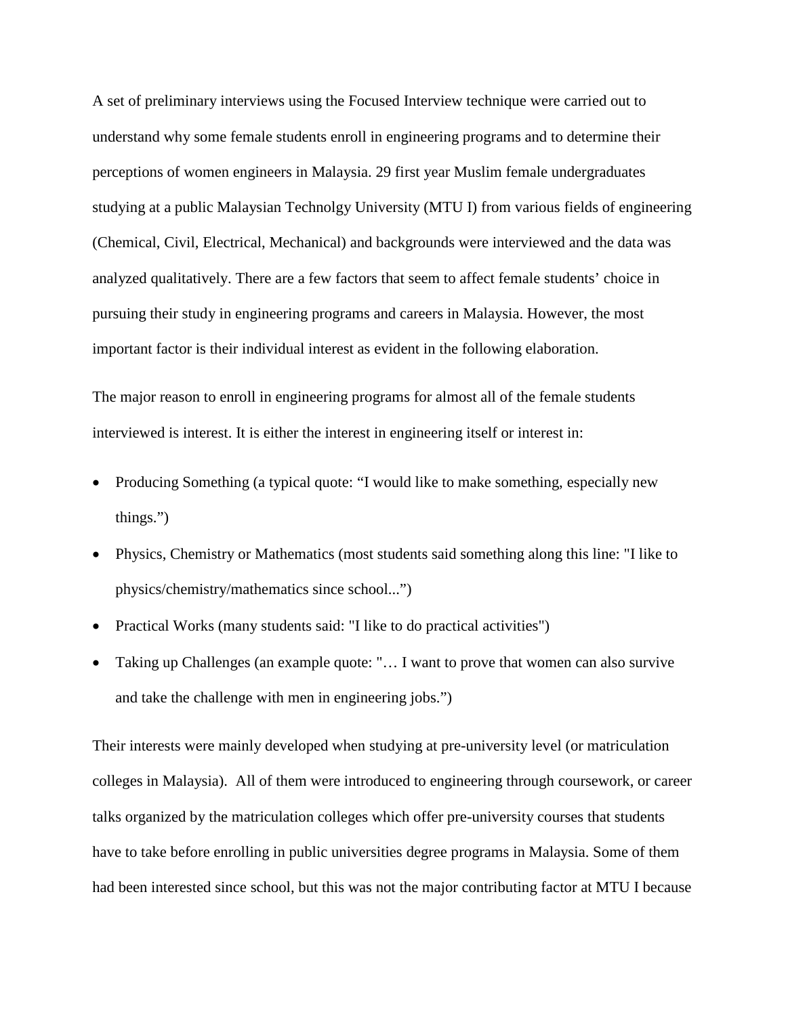A set of preliminary interviews using the Focused Interview technique were carried out to understand why some female students enroll in engineering programs and to determine their perceptions of women engineers in Malaysia. 29 first year Muslim female undergraduates studying at a public Malaysian Technolgy University (MTU I) from various fields of engineering (Chemical, Civil, Electrical, Mechanical) and backgrounds were interviewed and the data was analyzed qualitatively. There are a few factors that seem to affect female students' choice in pursuing their study in engineering programs and careers in Malaysia. However, the most important factor is their individual interest as evident in the following elaboration.

The major reason to enroll in engineering programs for almost all of the female students interviewed is interest. It is either the interest in engineering itself or interest in:

- Producing Something (a typical quote: "I would like to make something, especially new things.")
- Physics, Chemistry or Mathematics (most students said something along this line: "I like to physics/chemistry/mathematics since school...")
- Practical Works (many students said: "I like to do practical activities")
- Taking up Challenges (an example quote: "... I want to prove that women can also survive and take the challenge with men in engineering jobs.")

Their interests were mainly developed when studying at pre-university level (or matriculation colleges in Malaysia). All of them were introduced to engineering through coursework, or career talks organized by the matriculation colleges which offer pre-university courses that students have to take before enrolling in public universities degree programs in Malaysia. Some of them had been interested since school, but this was not the major contributing factor at MTU I because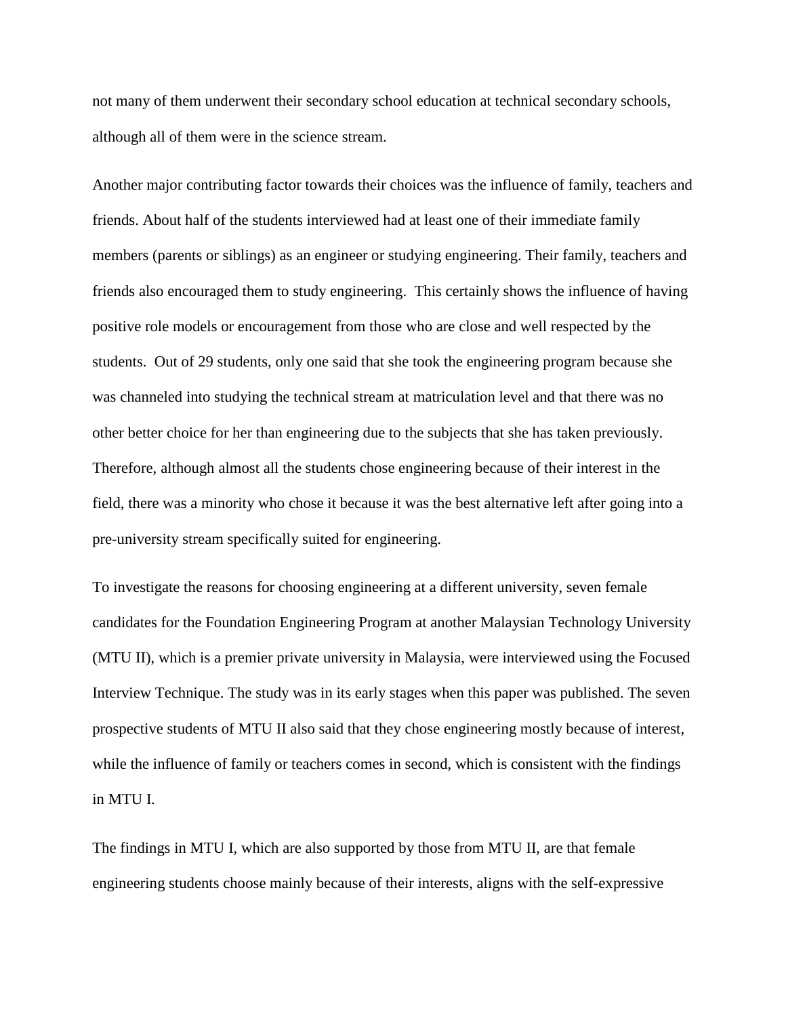not many of them underwent their secondary school education at technical secondary schools, although all of them were in the science stream.

Another major contributing factor towards their choices was the influence of family, teachers and friends. About half of the students interviewed had at least one of their immediate family members (parents or siblings) as an engineer or studying engineering. Their family, teachers and friends also encouraged them to study engineering. This certainly shows the influence of having positive role models or encouragement from those who are close and well respected by the students. Out of 29 students, only one said that she took the engineering program because she was channeled into studying the technical stream at matriculation level and that there was no other better choice for her than engineering due to the subjects that she has taken previously. Therefore, although almost all the students chose engineering because of their interest in the field, there was a minority who chose it because it was the best alternative left after going into a pre-university stream specifically suited for engineering.

To investigate the reasons for choosing engineering at a different university, seven female candidates for the Foundation Engineering Program at another Malaysian Technology University (MTU II), which is a premier private university in Malaysia, were interviewed using the Focused Interview Technique. The study was in its early stages when this paper was published. The seven prospective students of MTU II also said that they chose engineering mostly because of interest, while the influence of family or teachers comes in second, which is consistent with the findings in MTU I.

The findings in MTU I, which are also supported by those from MTU II, are that female engineering students choose mainly because of their interests, aligns with the self-expressive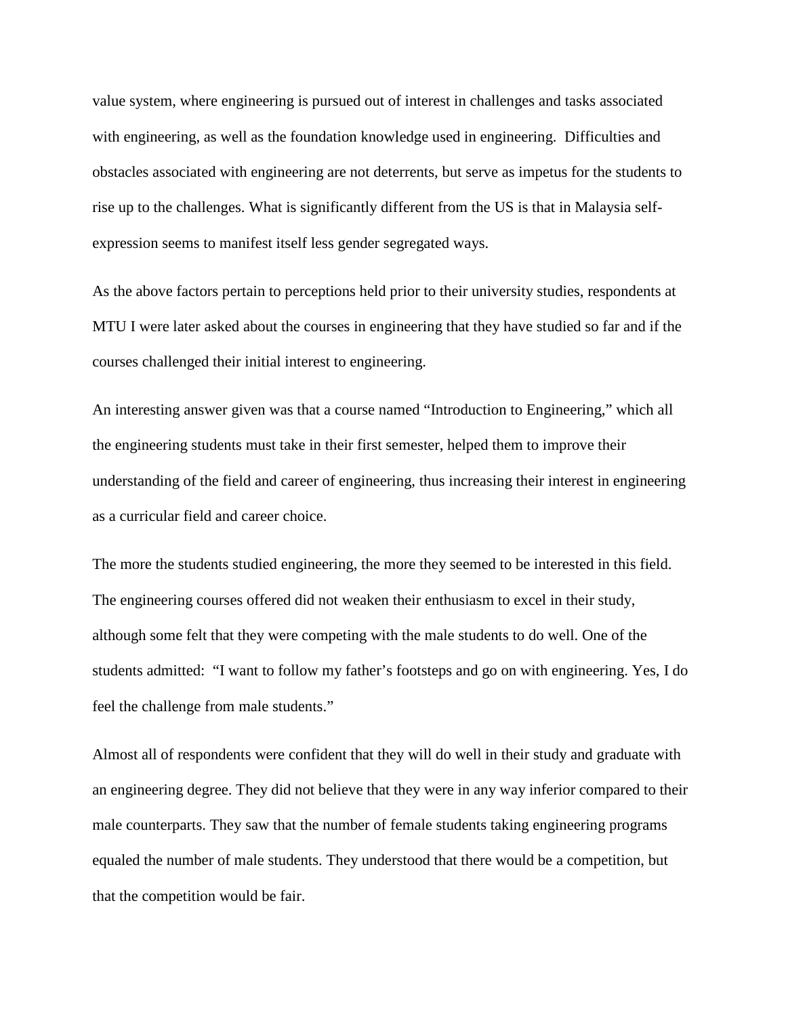value system, where engineering is pursued out of interest in challenges and tasks associated with engineering, as well as the foundation knowledge used in engineering. Difficulties and obstacles associated with engineering are not deterrents, but serve as impetus for the students to rise up to the challenges. What is significantly different from the US is that in Malaysia selfexpression seems to manifest itself less gender segregated ways.

As the above factors pertain to perceptions held prior to their university studies, respondents at MTU I were later asked about the courses in engineering that they have studied so far and if the courses challenged their initial interest to engineering.

An interesting answer given was that a course named "Introduction to Engineering," which all the engineering students must take in their first semester, helped them to improve their understanding of the field and career of engineering, thus increasing their interest in engineering as a curricular field and career choice.

The more the students studied engineering, the more they seemed to be interested in this field. The engineering courses offered did not weaken their enthusiasm to excel in their study, although some felt that they were competing with the male students to do well. One of the students admitted: "I want to follow my father's footsteps and go on with engineering. Yes, I do feel the challenge from male students."

Almost all of respondents were confident that they will do well in their study and graduate with an engineering degree. They did not believe that they were in any way inferior compared to their male counterparts. They saw that the number of female students taking engineering programs equaled the number of male students. They understood that there would be a competition, but that the competition would be fair.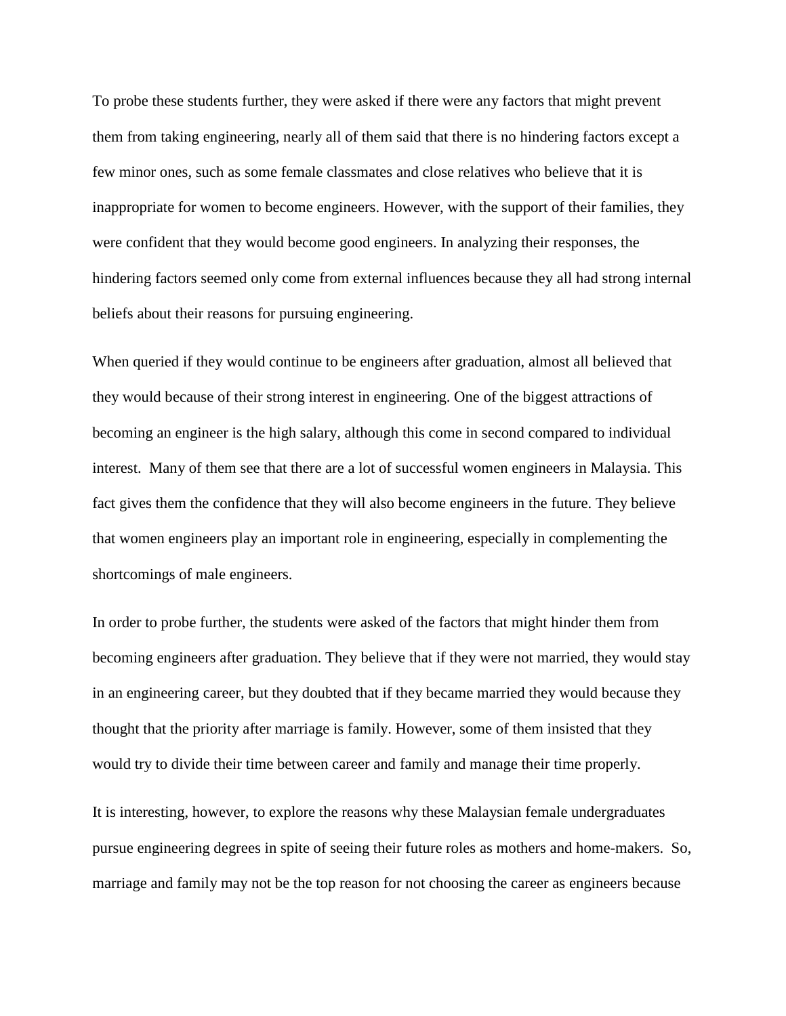To probe these students further, they were asked if there were any factors that might prevent them from taking engineering, nearly all of them said that there is no hindering factors except a few minor ones, such as some female classmates and close relatives who believe that it is inappropriate for women to become engineers. However, with the support of their families, they were confident that they would become good engineers. In analyzing their responses, the hindering factors seemed only come from external influences because they all had strong internal beliefs about their reasons for pursuing engineering.

When queried if they would continue to be engineers after graduation, almost all believed that they would because of their strong interest in engineering. One of the biggest attractions of becoming an engineer is the high salary, although this come in second compared to individual interest. Many of them see that there are a lot of successful women engineers in Malaysia. This fact gives them the confidence that they will also become engineers in the future. They believe that women engineers play an important role in engineering, especially in complementing the shortcomings of male engineers.

In order to probe further, the students were asked of the factors that might hinder them from becoming engineers after graduation. They believe that if they were not married, they would stay in an engineering career, but they doubted that if they became married they would because they thought that the priority after marriage is family. However, some of them insisted that they would try to divide their time between career and family and manage their time properly.

It is interesting, however, to explore the reasons why these Malaysian female undergraduates pursue engineering degrees in spite of seeing their future roles as mothers and home-makers. So, marriage and family may not be the top reason for not choosing the career as engineers because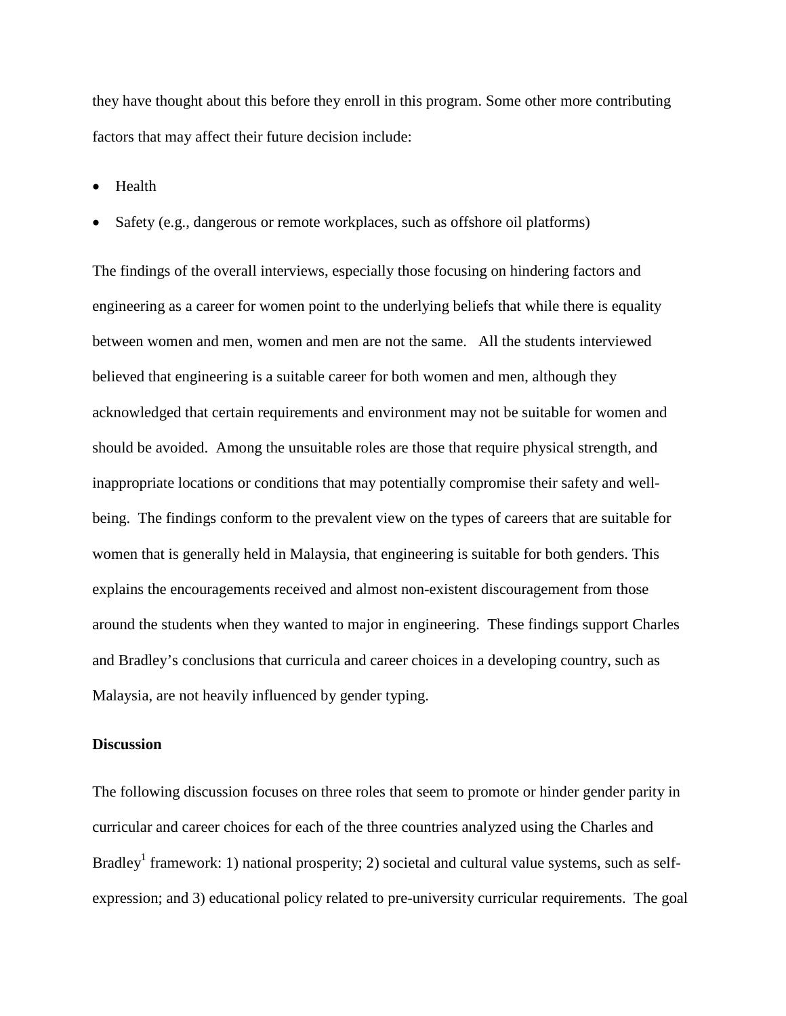they have thought about this before they enroll in this program. Some other more contributing factors that may affect their future decision include:

• Health

Safety (e.g., dangerous or remote workplaces, such as offshore oil platforms)

The findings of the overall interviews, especially those focusing on hindering factors and engineering as a career for women point to the underlying beliefs that while there is equality between women and men, women and men are not the same. All the students interviewed believed that engineering is a suitable career for both women and men, although they acknowledged that certain requirements and environment may not be suitable for women and should be avoided. Among the unsuitable roles are those that require physical strength, and inappropriate locations or conditions that may potentially compromise their safety and wellbeing. The findings conform to the prevalent view on the types of careers that are suitable for women that is generally held in Malaysia, that engineering is suitable for both genders. This explains the encouragements received and almost non-existent discouragement from those around the students when they wanted to major in engineering. These findings support Charles and Bradley's conclusions that curricula and career choices in a developing country, such as Malaysia, are not heavily influenced by gender typing.

### **Discussion**

The following discussion focuses on three roles that seem to promote or hinder gender parity in curricular and career choices for each of the three countries analyzed using the Charles and Bradley<sup>1</sup> framework: 1) national prosperity; 2) societal and cultural value systems, such as selfexpression; and 3) educational policy related to pre-university curricular requirements. The goal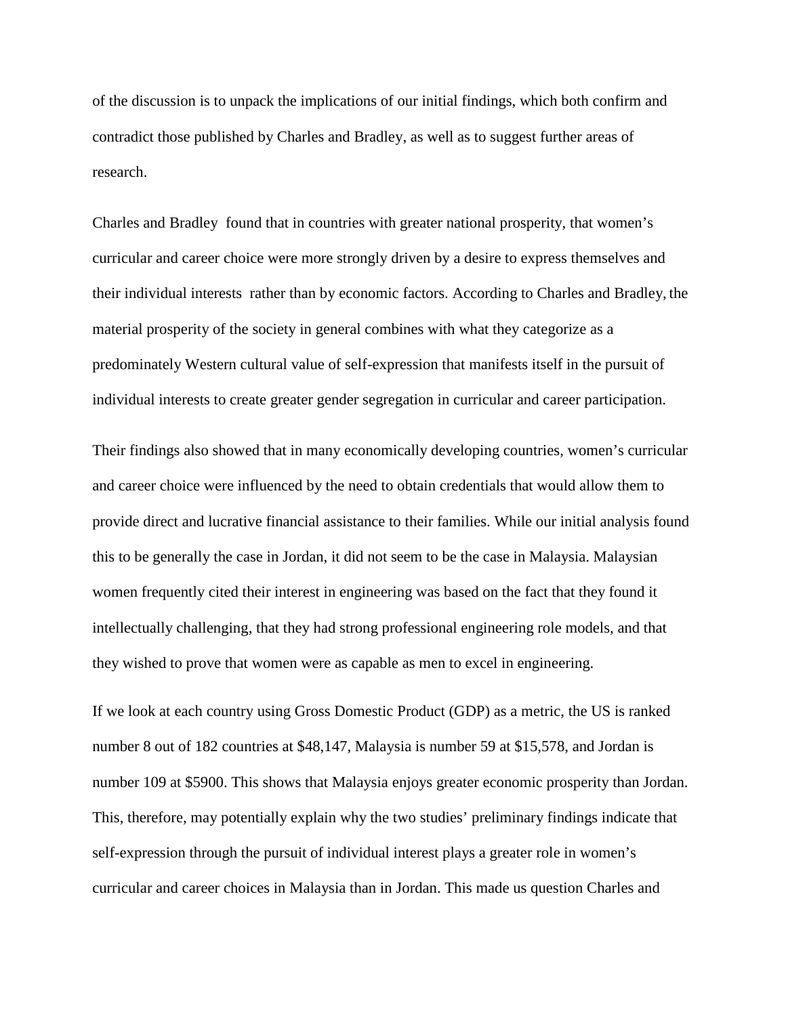of the discussion is to unpack the implications of our initial findings, which both confirm and contradict those published by Charles and Bradley, as well as to suggest further areas of research.

Charles and Bradley found that in countries with greater national prosperity, that women's curricular and career choice were more strongly driven by a desire to express themselves and their individual interests rather than by economic factors. According to Charles and Bradley, the material prosperity of the society in general combines with what they categorize as a predominately Western cultural value of self-expression that manifests itself in the pursuit of individual interests to create greater gender segregation in curricular and career participation.

Their findings also showed that in many economically developing countries, women's curricular and career choice were influenced by the need to obtain credentials that would allow them to provide direct and lucrative financial assistance to their families. While our initial analysis found this to be generally the case in Jordan, it did not seem to be the case in Malaysia. Malaysian women frequently cited their interest in engineering was based on the fact that they found it intellectually challenging, that they had strong professional engineering role models, and that they wished to prove that women were as capable as men to excel in engineering.

If we look at each country using Gross Domestic Product (GDP) as a metric, the US is ranked number 8 out of 182 countries at \$48,147, Malaysia is number 59 at \$15,578, and Jordan is number 109 at \$5900. This shows that Malaysia enjoys greater economic prosperity than Jordan. This, therefore, may potentially explain why the two studies' preliminary findings indicate that self-expression through the pursuit of individual interest plays a greater role in women's curricular and career choices in Malaysia than in Jordan. This made us question Charles and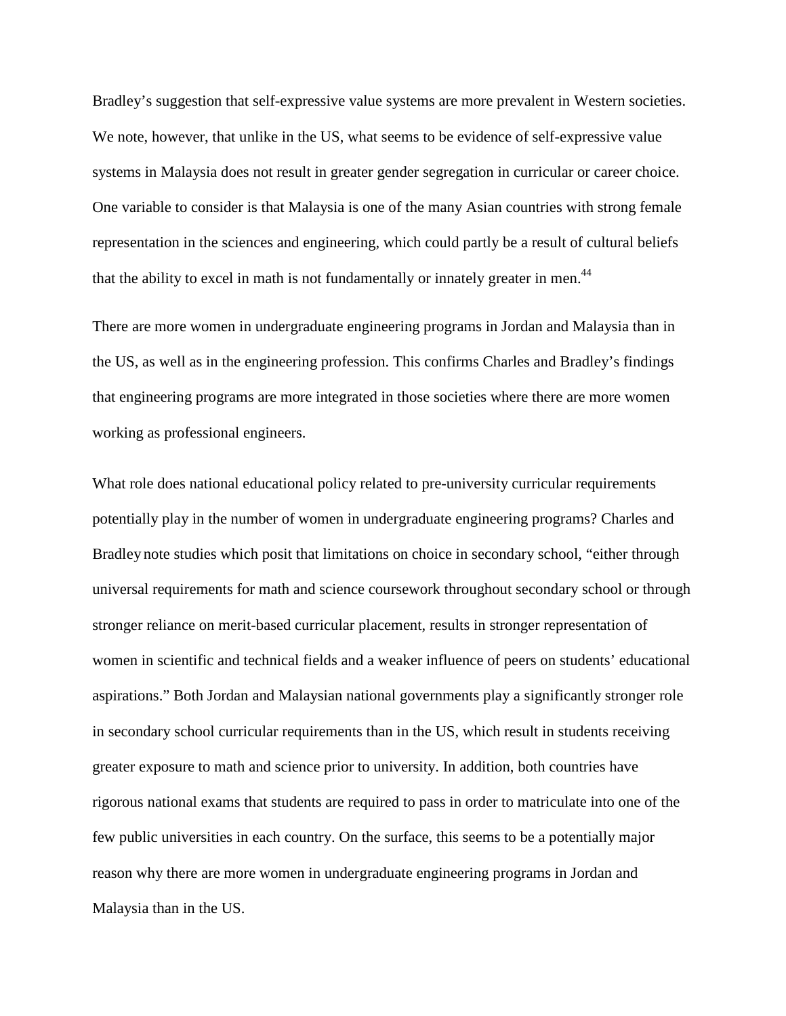Bradley's suggestion that self-expressive value systems are more prevalent in Western societies. We note, however, that unlike in the US, what seems to be evidence of self-expressive value systems in Malaysia does not result in greater gender segregation in curricular or career choice. One variable to consider is that Malaysia is one of the many Asian countries with strong female representation in the sciences and engineering, which could partly be a result of cultural beliefs that the ability to excel in math is not fundamentally or innately greater in men.<sup>44</sup>

There are more women in undergraduate engineering programs in Jordan and Malaysia than in the US, as well as in the engineering profession. This confirms Charles and Bradley's findings that engineering programs are more integrated in those societies where there are more women working as professional engineers.

What role does national educational policy related to pre-university curricular requirements potentially play in the number of women in undergraduate engineering programs? Charles and Bradley note studies which posit that limitations on choice in secondary school, "either through universal requirements for math and science coursework throughout secondary school or through stronger reliance on merit-based curricular placement, results in stronger representation of women in scientific and technical fields and a weaker influence of peers on students' educational aspirations." Both Jordan and Malaysian national governments play a significantly stronger role in secondary school curricular requirements than in the US, which result in students receiving greater exposure to math and science prior to university. In addition, both countries have rigorous national exams that students are required to pass in order to matriculate into one of the few public universities in each country. On the surface, this seems to be a potentially major reason why there are more women in undergraduate engineering programs in Jordan and Malaysia than in the US.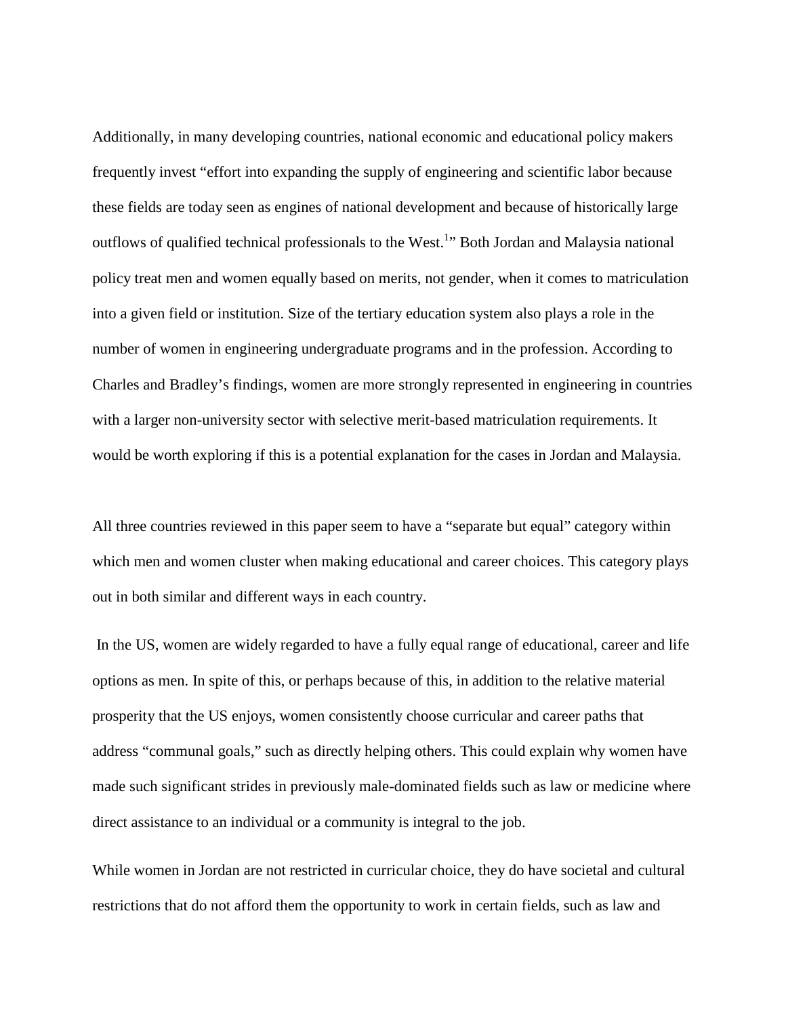Additionally, in many developing countries, national economic and educational policy makers frequently invest "effort into expanding the supply of engineering and scientific labor because these fields are today seen as engines of national development and because of historically large outflows of qualified technical professionals to the West.<sup>1</sup>" Both Jordan and Malaysia national policy treat men and women equally based on merits, not gender, when it comes to matriculation into a given field or institution. Size of the tertiary education system also plays a role in the number of women in engineering undergraduate programs and in the profession. According to Charles and Bradley's findings, women are more strongly represented in engineering in countries with a larger non-university sector with selective merit-based matriculation requirements. It would be worth exploring if this is a potential explanation for the cases in Jordan and Malaysia.

All three countries reviewed in this paper seem to have a "separate but equal" category within which men and women cluster when making educational and career choices. This category plays out in both similar and different ways in each country.

In the US, women are widely regarded to have a fully equal range of educational, career and life options as men. In spite of this, or perhaps because of this, in addition to the relative material prosperity that the US enjoys, women consistently choose curricular and career paths that address "communal goals," such as directly helping others. This could explain why women have made such significant strides in previously male-dominated fields such as law or medicine where direct assistance to an individual or a community is integral to the job.

While women in Jordan are not restricted in curricular choice, they do have societal and cultural restrictions that do not afford them the opportunity to work in certain fields, such as law and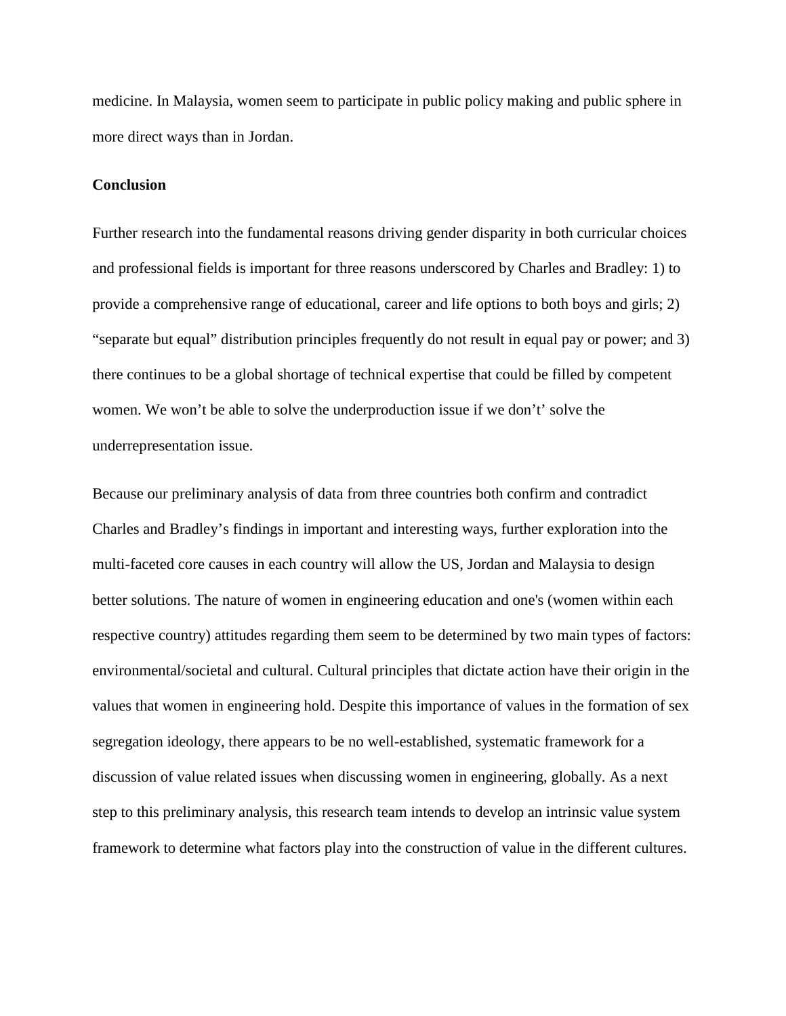medicine. In Malaysia, women seem to participate in public policy making and public sphere in more direct ways than in Jordan.

### **Conclusion**

Further research into the fundamental reasons driving gender disparity in both curricular choices and professional fields is important for three reasons underscored by Charles and Bradley: 1) to provide a comprehensive range of educational, career and life options to both boys and girls; 2) "separate but equal" distribution principles frequently do not result in equal pay or power; and 3) there continues to be a global shortage of technical expertise that could be filled by competent women. We won't be able to solve the underproduction issue if we don't' solve the underrepresentation issue.

Because our preliminary analysis of data from three countries both confirm and contradict Charles and Bradley's findings in important and interesting ways, further exploration into the multi-faceted core causes in each country will allow the US, Jordan and Malaysia to design better solutions. The nature of women in engineering education and one's (women within each respective country) attitudes regarding them seem to be determined by two main types of factors: environmental/societal and cultural. Cultural principles that dictate action have their origin in the values that women in engineering hold. Despite this importance of values in the formation of sex segregation ideology, there appears to be no well-established, systematic framework for a discussion of value related issues when discussing women in engineering, globally. As a next step to this preliminary analysis, this research team intends to develop an intrinsic value system framework to determine what factors play into the construction of value in the different cultures.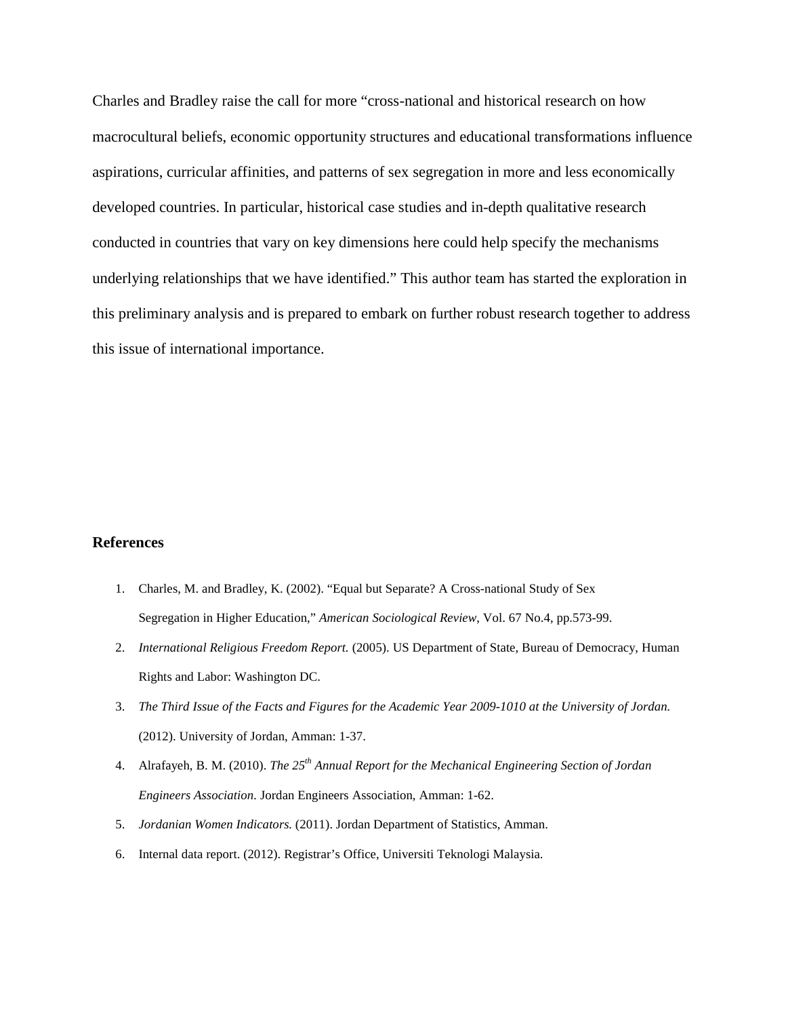Charles and Bradley raise the call for more "cross-national and historical research on how macrocultural beliefs, economic opportunity structures and educational transformations influence aspirations, curricular affinities, and patterns of sex segregation in more and less economically developed countries. In particular, historical case studies and in-depth qualitative research conducted in countries that vary on key dimensions here could help specify the mechanisms underlying relationships that we have identified." This author team has started the exploration in this preliminary analysis and is prepared to embark on further robust research together to address this issue of international importance.

### **References**

- 1. Charles, M. and Bradley, K. (2002). "Equal but Separate? A Cross-national Study of Sex Segregation in Higher Education," *American Sociological Review*, Vol. 67 No.4, pp.573-99.
- 2. *International Religious Freedom Report.* (2005). US Department of State, Bureau of Democracy, Human Rights and Labor: Washington DC.
- 3. *The Third Issue of the Facts and Figures for the Academic Year 2009-1010 at the University of Jordan.* (2012). University of Jordan, Amman: 1-37.
- 4. Alrafayeh, B. M. (2010). *The 25th Annual Report for the Mechanical Engineering Section of Jordan Engineers Association.* Jordan Engineers Association, Amman: 1-62.
- 5. *Jordanian Women Indicators.* (2011). Jordan Department of Statistics, Amman.
- 6. Internal data report. (2012). Registrar's Office, Universiti Teknologi Malaysia.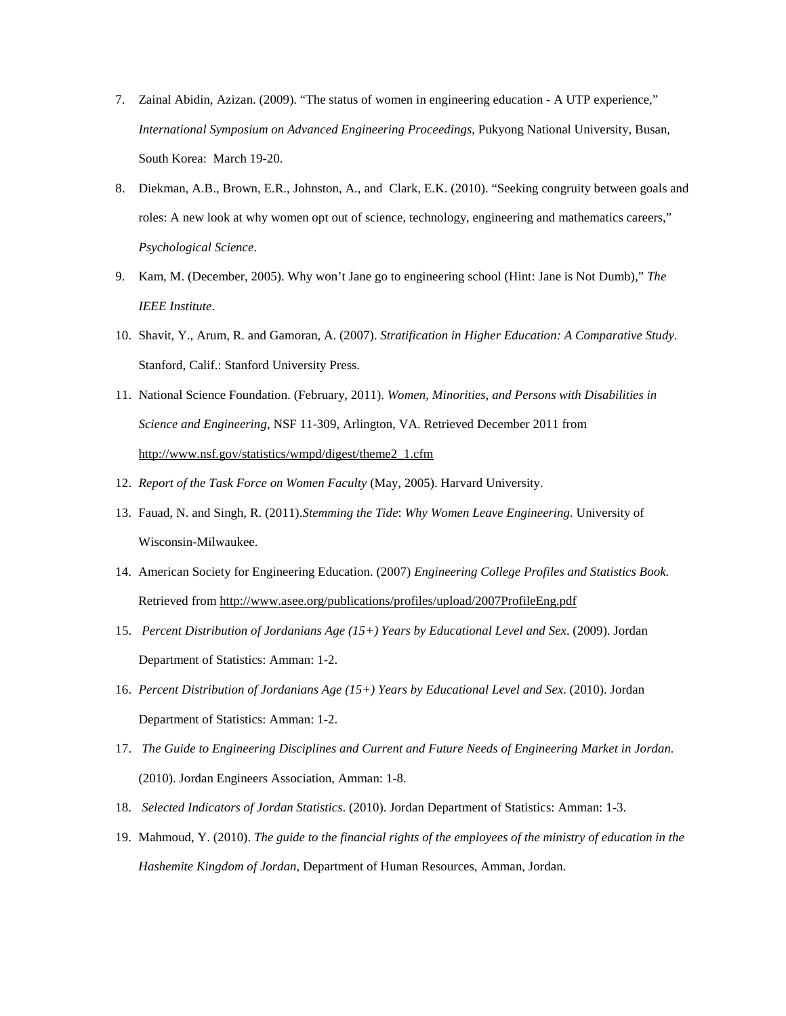- 7. Zainal Abidin, Azizan. (2009). "The status of women in engineering education A UTP experience," *International Symposium on Advanced Engineering Proceedings*, Pukyong National University, Busan, South Korea: March 19-20.
- 8. Diekman, A.B., Brown, E.R., Johnston, A., and Clark, E.K. (2010). "Seeking congruity between goals and roles: A new look at why women opt out of science, technology, engineering and mathematics careers," *Psychological Science*.
- 9. Kam, M. (December, 2005). Why won't Jane go to engineering school (Hint: Jane is Not Dumb)," *The IEEE Institute*.
- 10. Shavit, Y., Arum, R. and Gamoran, A. (2007). *Stratification in Higher Education: A Comparative Study*. Stanford, Calif.: Stanford University Press.
- 11. National Science Foundation. (February, 2011). *Women, Minorities, and Persons with Disabilities in Science and Engineering*, NSF 11-309, Arlington, VA. Retrieved December 2011 from [http://www.nsf.gov/statistics/wmpd/digest/theme2\\_1.cfm](http://www.nsf.gov/statistics/wmpd/digest/theme2_1.cfm)
- 12. *Report of the Task Force on Women Faculty* (May, 2005). Harvard University.
- 13. Fauad, N. and Singh, R. (2011).*Stemming the Tide*: *Why Women Leave Engineering*. University of Wisconsin-Milwaukee.
- 14. American Society for Engineering Education. (2007) *Engineering College Profiles and Statistics Book.* Retrieved from<http://www.asee.org/publications/profiles/upload/2007ProfileEng.pdf>
- 15. *Percent Distribution of Jordanians Age (15+) Years by Educational Level and Sex*. (2009). Jordan Department of Statistics: Amman: 1-2.
- 16. *Percent Distribution of Jordanians Age (15+) Years by Educational Level and Sex*. (2010). Jordan Department of Statistics: Amman: 1-2.
- 17. *The Guide to Engineering Disciplines and Current and Future Needs of Engineering Market in Jordan.* (2010). Jordan Engineers Association, Amman: 1-8.
- 18. *Selected Indicators of Jordan Statistics*. (2010). Jordan Department of Statistics: Amman: 1-3.
- 19. Mahmoud, Y. (2010). *The guide to the financial rights of the employees of the ministry of education in the Hashemite Kingdom of Jordan*, Department of Human Resources, Amman, Jordan.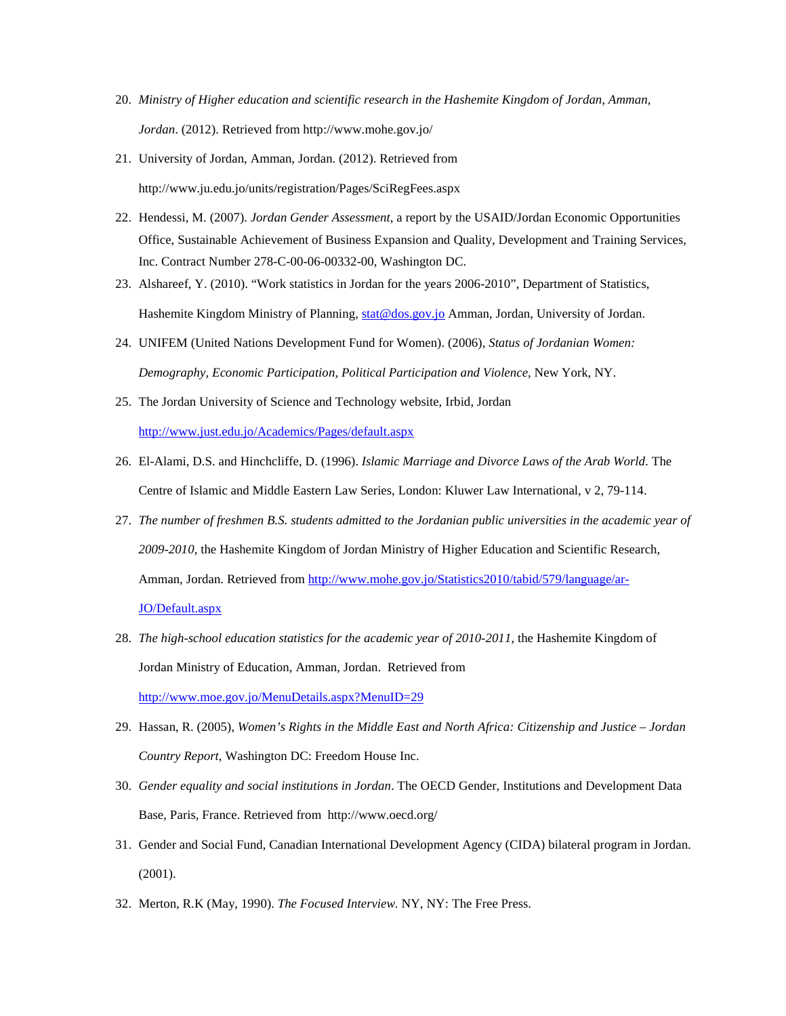- 20. *Ministry of Higher education and scientific research in the Hashemite Kingdom of Jordan, Amman, Jordan*. (2012). Retrieved from http://www.mohe.gov.jo/
- 21. University of Jordan, Amman, Jordan. (2012). Retrieved from http://www.ju.edu.jo/units/registration/Pages/SciRegFees.aspx
- 22. Hendessi, M. (2007). *Jordan Gender Assessment*, a report by the USAID/Jordan Economic Opportunities Office, Sustainable Achievement of Business Expansion and Quality, Development and Training Services, Inc. Contract Number 278-C-00-06-00332-00, Washington DC.
- 23. Alshareef, Y. (2010). "Work statistics in Jordan for the years 2006-2010", Department of Statistics, Hashemite Kingdom Ministry of Planning, [stat@dos.gov.jo](mailto:stat@dos.gov.jo) Amman, Jordan, University of Jordan.
- 24. UNIFEM (United Nations Development Fund for Women). (2006), *Status of Jordanian Women: Demography, Economic Participation, Political Participation and Violence*, New York, NY.
- 25. The Jordan University of Science and Technology website, Irbid, Jordan <http://www.just.edu.jo/Academics/Pages/default.aspx>
- 26. El-Alami, D.S. and Hinchcliffe, D. (1996). *Islamic Marriage and Divorce Laws of the Arab World*. The Centre of Islamic and Middle Eastern Law Series, London: Kluwer Law International, v 2, 79-114.
- 27. *The number of freshmen B.S. students admitted to the Jordanian public universities in the academic year of 2009-2010*, the Hashemite Kingdom of Jordan Ministry of Higher Education and Scientific Research, Amman, Jordan. Retrieved from [http://www.mohe.gov.jo/Statistics2010/tabid/579/language/ar-](http://www.mohe.gov.jo/Statistics2010/tabid/579/language/ar-JO/Default.aspx)[JO/Default.aspx](http://www.mohe.gov.jo/Statistics2010/tabid/579/language/ar-JO/Default.aspx)
- 28. *The high-school education statistics for the academic year of 2010-2011*, the Hashemite Kingdom of Jordan Ministry of Education, Amman, Jordan. Retrieved from <http://www.moe.gov.jo/MenuDetails.aspx?MenuID=29>
- 29. Hassan, R. (2005), *Women's Rights in the Middle East and North Africa: Citizenship and Justice – Jordan Country Report*, Washington DC: Freedom House Inc.
- 30. *Gender equality and social institutions in Jordan*. The OECD Gender, Institutions and Development Data Base, Paris, France. Retrieved from http://www.oecd.org/
- 31. Gender and Social Fund, Canadian International Development Agency (CIDA) bilateral program in Jordan. (2001).
- 32. Merton, R.K (May, 1990). *The Focused Interview.* NY, NY: The Free Press.